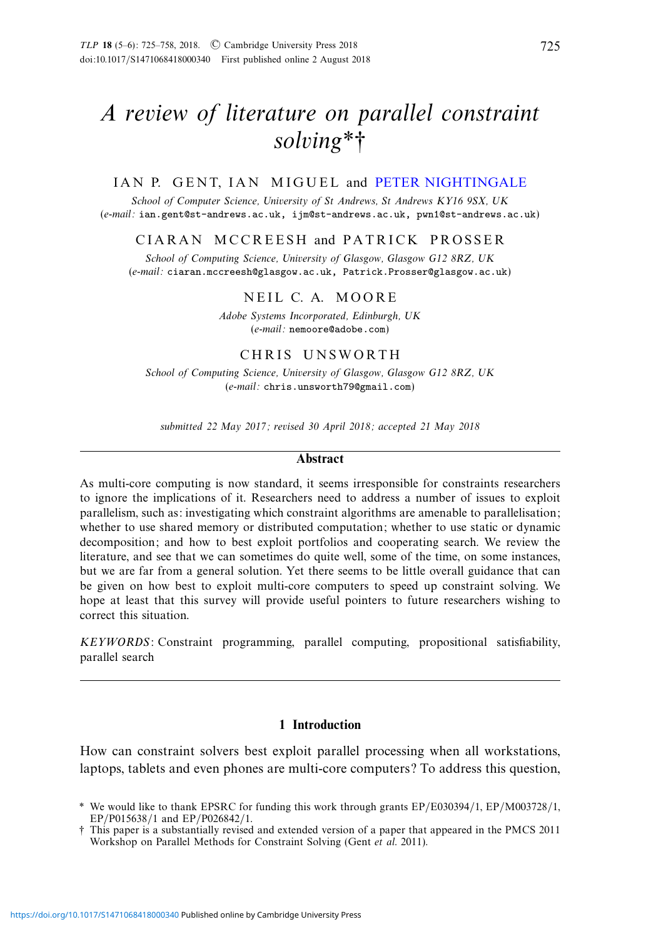# A review of literature on parallel constraint solving-†

## IAN P. GENT, IAN MIGUEL and [PETER NIGHTINGALE](http://orcid.org/0000-0002-5052-8634)

School of Computer Science, University of St Andrews, St Andrews KY16 9SX, UK (e-mail: ian.gent@st-andrews.ac.uk, ijm@st-andrews.ac.uk, pwn1@st-andrews.ac.uk)

#### CIARAN MCCREESH and PATRICK PROSSER

School of Computing Science, University of Glasgow, Glasgow G12 8RZ, UK (e-mail: ciaran.mccreesh@glasgow.ac.uk, Patrick.Prosser@glasgow.ac.uk)

## NEIL C. A. MOORE

Adobe Systems Incorporated, Edinburgh, UK (e-mail: nemoore@adobe.com)

## CHRIS UNSWORTH

School of Computing Science, University of Glasgow, Glasgow G12 8RZ, UK (e-mail: chris.unsworth79@gmail.com)

submitted 22 May 2017; revised 30 April 2018; accepted 21 May 2018

#### **Abstract**

As multi-core computing is now standard, it seems irresponsible for constraints researchers to ignore the implications of it. Researchers need to address a number of issues to exploit parallelism, such as: investigating which constraint algorithms are amenable to parallelisation; whether to use shared memory or distributed computation; whether to use static or dynamic decomposition; and how to best exploit portfolios and cooperating search. We review the literature, and see that we can sometimes do quite well, some of the time, on some instances, but we are far from a general solution. Yet there seems to be little overall guidance that can be given on how best to exploit multi-core computers to speed up constraint solving. We hope at least that this survey will provide useful pointers to future researchers wishing to correct this situation.

KEYWORDS: Constraint programming, parallel computing, propositional satisfiability, parallel search

## **1 Introduction**

How can constraint solvers best exploit parallel processing when all workstations, laptops, tablets and even phones are multi-core computers? To address this question,

<sup>-</sup> We would like to thank EPSRC for funding this work through grants EP/E030394/1, EP/M003728/1, EP/P015638/1 and EP/P026842/1.

<sup>†</sup> This paper is a substantially revised and extended version of a paper that appeared in the PMCS 2011 Workshop on Parallel Methods for Constraint Solving (Gent et al. 2011).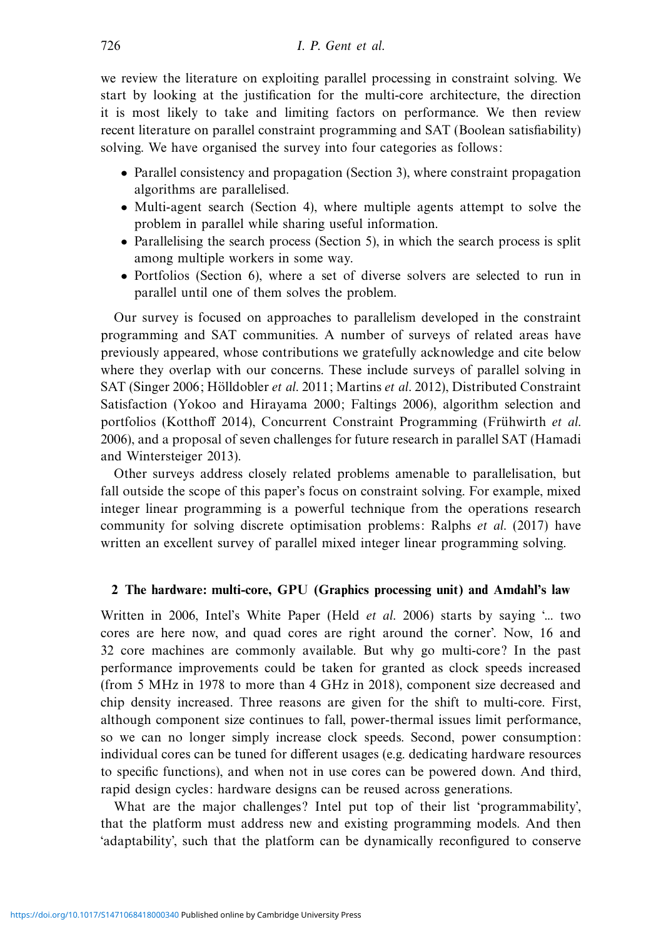we review the literature on exploiting parallel processing in constraint solving. We start by looking at the justification for the multi-core architecture, the direction it is most likely to take and limiting factors on performance. We then review recent literature on parallel constraint programming and SAT (Boolean satisfiability) solving. We have organised the survey into four categories as follows:

- Parallel consistency and propagation (Section 3), where constraint propagation algorithms are parallelised.
- Multi-agent search (Section 4), where multiple agents attempt to solve the problem in parallel while sharing useful information.
- Parallelising the search process (Section 5), in which the search process is split among multiple workers in some way.
- Portfolios (Section 6), where a set of diverse solvers are selected to run in parallel until one of them solves the problem.

Our survey is focused on approaches to parallelism developed in the constraint programming and SAT communities. A number of surveys of related areas have previously appeared, whose contributions we gratefully acknowledge and cite below where they overlap with our concerns. These include surveys of parallel solving in SAT (Singer 2006; Hölldobler *et al.* 2011; Martins *et al.* 2012), Distributed Constraint Satisfaction (Yokoo and Hirayama 2000; Faltings 2006), algorithm selection and portfolios (Kotthoff 2014), Concurrent Constraint Programming (Frühwirth et al. 2006), and a proposal of seven challenges for future research in parallel SAT (Hamadi and Wintersteiger 2013).

Other surveys address closely related problems amenable to parallelisation, but fall outside the scope of this paper's focus on constraint solving. For example, mixed integer linear programming is a powerful technique from the operations research community for solving discrete optimisation problems: Ralphs et al. (2017) have written an excellent survey of parallel mixed integer linear programming solving.

## **2 The hardware: multi-core, GPU (Graphics processing unit) and Amdahl's law**

Written in 2006, Intel's White Paper (Held *et al.* 2006) starts by saying '... two cores are here now, and quad cores are right around the corner'. Now, 16 and 32 core machines are commonly available. But why go multi-core? In the past performance improvements could be taken for granted as clock speeds increased (from 5 MHz in 1978 to more than 4 GHz in 2018), component size decreased and chip density increased. Three reasons are given for the shift to multi-core. First, although component size continues to fall, power-thermal issues limit performance, so we can no longer simply increase clock speeds. Second, power consumption: individual cores can be tuned for different usages (e.g. dedicating hardware resources to specific functions), and when not in use cores can be powered down. And third, rapid design cycles: hardware designs can be reused across generations.

What are the major challenges? Intel put top of their list 'programmability', that the platform must address new and existing programming models. And then 'adaptability', such that the platform can be dynamically reconfigured to conserve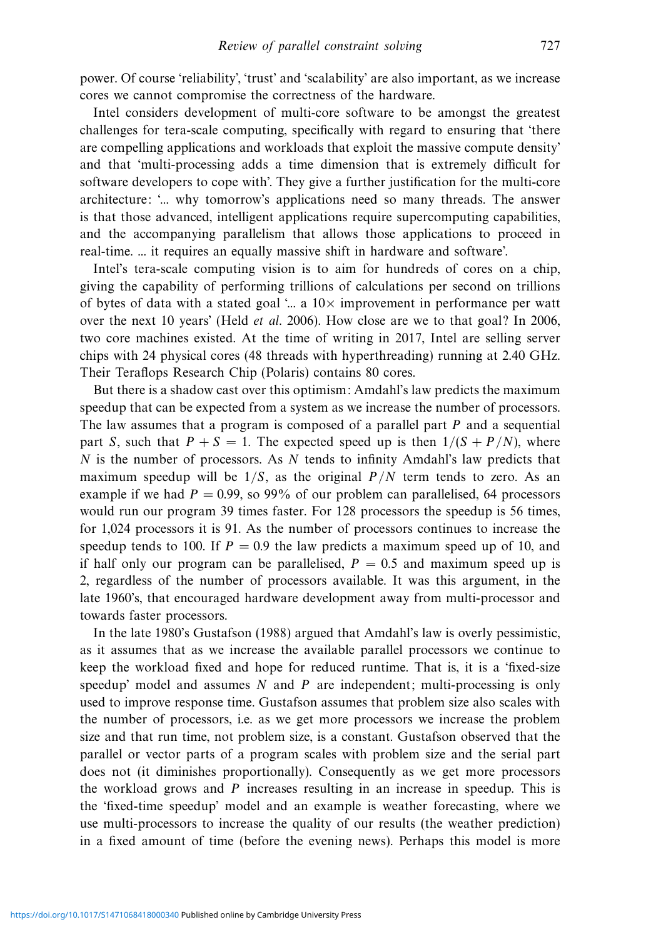power. Of course 'reliability', 'trust' and 'scalability' are also important, as we increase cores we cannot compromise the correctness of the hardware.

Intel considers development of multi-core software to be amongst the greatest challenges for tera-scale computing, specifically with regard to ensuring that 'there are compelling applications and workloads that exploit the massive compute density' and that 'multi-processing adds a time dimension that is extremely difficult for software developers to cope with'. They give a further justification for the multi-core architecture: '... why tomorrow's applications need so many threads. The answer is that those advanced, intelligent applications require supercomputing capabilities, and the accompanying parallelism that allows those applications to proceed in real-time. ... it requires an equally massive shift in hardware and software'.

Intel's tera-scale computing vision is to aim for hundreds of cores on a chip, giving the capability of performing trillions of calculations per second on trillions of bytes of data with a stated goal  $\ldots$  a  $10\times$  improvement in performance per watt over the next 10 years' (Held et al. 2006). How close are we to that goal? In 2006, two core machines existed. At the time of writing in 2017, Intel are selling server chips with 24 physical cores (48 threads with hyperthreading) running at 2.40 GHz. Their Teraflops Research Chip (Polaris) contains 80 cores.

But there is a shadow cast over this optimism: Amdahl's law predicts the maximum speedup that can be expected from a system as we increase the number of processors. The law assumes that a program is composed of a parallel part *P* and a sequential part *S*, such that  $P + S = 1$ . The expected speed up is then  $1/(S + P/N)$ , where *N* is the number of processors. As *N* tends to infinity Amdahl's law predicts that maximum speedup will be  $1/S$ , as the original  $P/N$  term tends to zero. As an example if we had  $P = 0.99$ , so 99% of our problem can parallelised, 64 processors would run our program 39 times faster. For 128 processors the speedup is 56 times, for 1,024 processors it is 91. As the number of processors continues to increase the speedup tends to 100. If  $P = 0.9$  the law predicts a maximum speed up of 10, and if half only our program can be parallelised,  $P = 0.5$  and maximum speed up is 2, regardless of the number of processors available. It was this argument, in the late 1960's, that encouraged hardware development away from multi-processor and towards faster processors.

In the late 1980's Gustafson (1988) argued that Amdahl's law is overly pessimistic, as it assumes that as we increase the available parallel processors we continue to keep the workload fixed and hope for reduced runtime. That is, it is a 'fixed-size speedup' model and assumes *N* and *P* are independent; multi-processing is only used to improve response time. Gustafson assumes that problem size also scales with the number of processors, i.e. as we get more processors we increase the problem size and that run time, not problem size, is a constant. Gustafson observed that the parallel or vector parts of a program scales with problem size and the serial part does not (it diminishes proportionally). Consequently as we get more processors the workload grows and *P* increases resulting in an increase in speedup. This is the 'fixed-time speedup' model and an example is weather forecasting, where we use multi-processors to increase the quality of our results (the weather prediction) in a fixed amount of time (before the evening news). Perhaps this model is more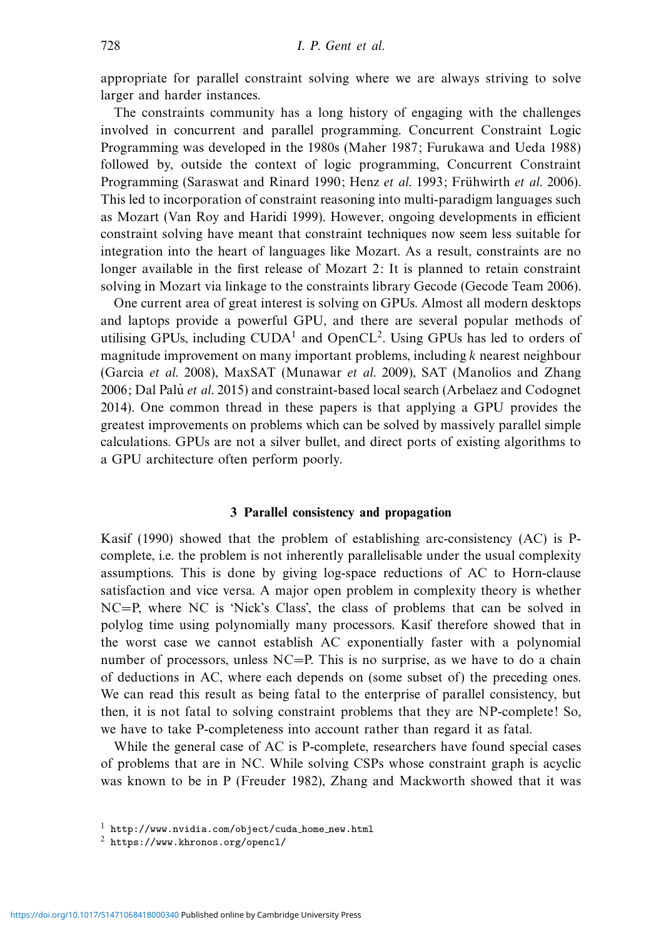appropriate for parallel constraint solving where we are always striving to solve larger and harder instances.

The constraints community has a long history of engaging with the challenges involved in concurrent and parallel programming. Concurrent Constraint Logic Programming was developed in the 1980s (Maher 1987; Furukawa and Ueda 1988) followed by, outside the context of logic programming, Concurrent Constraint Programming (Saraswat and Rinard 1990; Henz et al. 1993; Frühwirth et al. 2006). This led to incorporation of constraint reasoning into multi-paradigm languages such as Mozart (Van Roy and Haridi 1999). However, ongoing developments in efficient constraint solving have meant that constraint techniques now seem less suitable for integration into the heart of languages like Mozart. As a result, constraints are no longer available in the first release of Mozart 2: It is planned to retain constraint solving in Mozart via linkage to the constraints library Gecode (Gecode Team 2006).

One current area of great interest is solving on GPUs. Almost all modern desktops and laptops provide a powerful GPU, and there are several popular methods of utilising GPUs, including  $\text{CUDA}^1$  and  $\text{OpenCL}^2$ . Using GPUs has led to orders of magnitude improvement on many important problems, including *k* nearest neighbour (Garcia et al. 2008), MaxSAT (Munawar et al. 2009), SAT (Manolios and Zhang 2006; Dal Palu` et al. 2015) and constraint-based local search (Arbelaez and Codognet 2014). One common thread in these papers is that applying a GPU provides the greatest improvements on problems which can be solved by massively parallel simple calculations. GPUs are not a silver bullet, and direct ports of existing algorithms to a GPU architecture often perform poorly.

#### **3 Parallel consistency and propagation**

Kasif (1990) showed that the problem of establishing arc-consistency (AC) is Pcomplete, i.e. the problem is not inherently parallelisable under the usual complexity assumptions. This is done by giving log-space reductions of AC to Horn-clause satisfaction and vice versa. A major open problem in complexity theory is whether NC=P, where NC is 'Nick's Class', the class of problems that can be solved in polylog time using polynomially many processors. Kasif therefore showed that in the worst case we cannot establish AC exponentially faster with a polynomial number of processors, unless  $NC=$  P. This is no surprise, as we have to do a chain of deductions in AC, where each depends on (some subset of) the preceding ones. We can read this result as being fatal to the enterprise of parallel consistency, but then, it is not fatal to solving constraint problems that they are NP-complete! So, we have to take P-completeness into account rather than regard it as fatal.

While the general case of AC is P-complete, researchers have found special cases of problems that are in NC. While solving CSPs whose constraint graph is acyclic was known to be in P (Freuder 1982), Zhang and Mackworth showed that it was

 $^1$ http://www.nvidia.com/object/cuda\_home\_new.html  $^2$  https://www.khronos.org/opencl/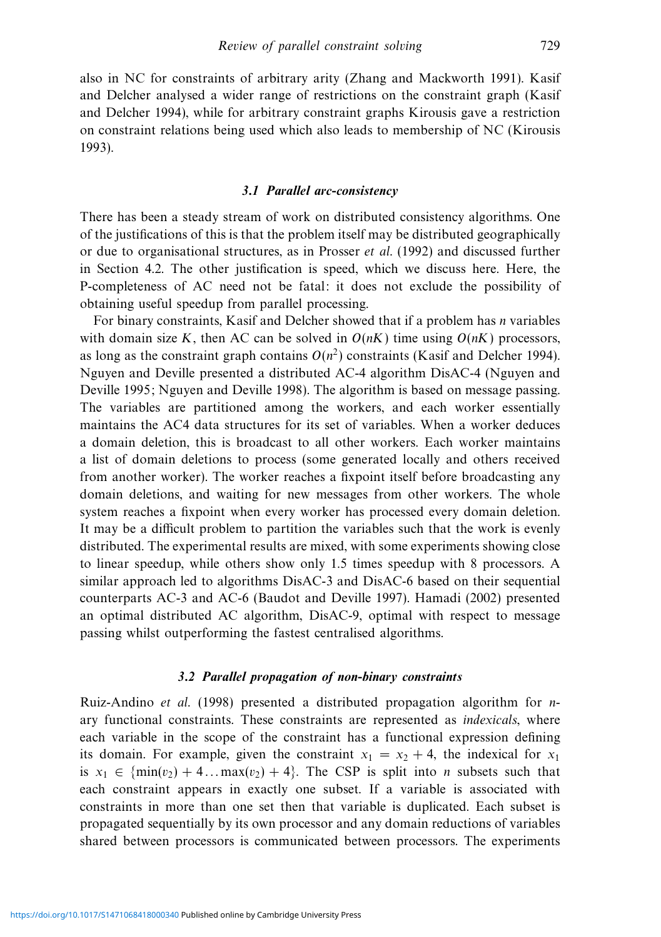also in NC for constraints of arbitrary arity (Zhang and Mackworth 1991). Kasif and Delcher analysed a wider range of restrictions on the constraint graph (Kasif and Delcher 1994), while for arbitrary constraint graphs Kirousis gave a restriction on constraint relations being used which also leads to membership of NC (Kirousis 1993).

#### *3.1 Parallel arc-consistency*

There has been a steady stream of work on distributed consistency algorithms. One of the justifications of this is that the problem itself may be distributed geographically or due to organisational structures, as in Prosser et al. (1992) and discussed further in Section 4.2. The other justification is speed, which we discuss here. Here, the P-completeness of AC need not be fatal: it does not exclude the possibility of obtaining useful speedup from parallel processing.

For binary constraints, Kasif and Delcher showed that if a problem has *n* variables with domain size *K*, then AC can be solved in  $O(nK)$  time using  $O(nK)$  processors, as long as the constraint graph contains  $O(n^2)$  constraints (Kasif and Delcher 1994). Nguyen and Deville presented a distributed AC-4 algorithm DisAC-4 (Nguyen and Deville 1995; Nguyen and Deville 1998). The algorithm is based on message passing. The variables are partitioned among the workers, and each worker essentially maintains the AC4 data structures for its set of variables. When a worker deduces a domain deletion, this is broadcast to all other workers. Each worker maintains a list of domain deletions to process (some generated locally and others received from another worker). The worker reaches a fixpoint itself before broadcasting any domain deletions, and waiting for new messages from other workers. The whole system reaches a fixpoint when every worker has processed every domain deletion. It may be a difficult problem to partition the variables such that the work is evenly distributed. The experimental results are mixed, with some experiments showing close to linear speedup, while others show only 1.5 times speedup with 8 processors. A similar approach led to algorithms DisAC-3 and DisAC-6 based on their sequential counterparts AC-3 and AC-6 (Baudot and Deville 1997). Hamadi (2002) presented an optimal distributed AC algorithm, DisAC-9, optimal with respect to message passing whilst outperforming the fastest centralised algorithms.

#### *3.2 Parallel propagation of non-binary constraints*

Ruiz-Andino et al. (1998) presented a distributed propagation algorithm for *n*ary functional constraints. These constraints are represented as indexicals, where each variable in the scope of the constraint has a functional expression defining its domain. For example, given the constraint  $x_1 = x_2 + 4$ , the indexical for  $x_1$ is  $x_1 \in \{\min(v_2)+4...\max(v_2)+4\}$ . The CSP is split into *n* subsets such that each constraint appears in exactly one subset. If a variable is associated with constraints in more than one set then that variable is duplicated. Each subset is propagated sequentially by its own processor and any domain reductions of variables shared between processors is communicated between processors. The experiments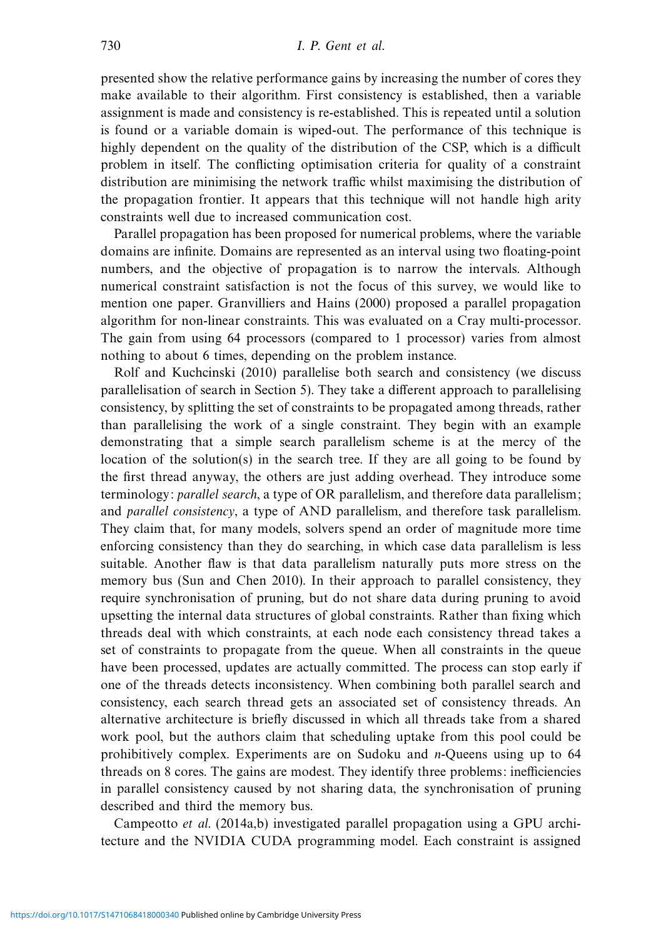presented show the relative performance gains by increasing the number of cores they make available to their algorithm. First consistency is established, then a variable assignment is made and consistency is re-established. This is repeated until a solution is found or a variable domain is wiped-out. The performance of this technique is highly dependent on the quality of the distribution of the CSP, which is a difficult problem in itself. The conflicting optimisation criteria for quality of a constraint distribution are minimising the network traffic whilst maximising the distribution of the propagation frontier. It appears that this technique will not handle high arity constraints well due to increased communication cost.

Parallel propagation has been proposed for numerical problems, where the variable domains are infinite. Domains are represented as an interval using two floating-point numbers, and the objective of propagation is to narrow the intervals. Although numerical constraint satisfaction is not the focus of this survey, we would like to mention one paper. Granvilliers and Hains (2000) proposed a parallel propagation algorithm for non-linear constraints. This was evaluated on a Cray multi-processor. The gain from using 64 processors (compared to 1 processor) varies from almost nothing to about 6 times, depending on the problem instance.

Rolf and Kuchcinski (2010) parallelise both search and consistency (we discuss parallelisation of search in Section 5). They take a different approach to parallelising consistency, by splitting the set of constraints to be propagated among threads, rather than parallelising the work of a single constraint. They begin with an example demonstrating that a simple search parallelism scheme is at the mercy of the location of the solution(s) in the search tree. If they are all going to be found by the first thread anyway, the others are just adding overhead. They introduce some terminology: parallel search, a type of OR parallelism, and therefore data parallelism; and parallel consistency, a type of AND parallelism, and therefore task parallelism. They claim that, for many models, solvers spend an order of magnitude more time enforcing consistency than they do searching, in which case data parallelism is less suitable. Another flaw is that data parallelism naturally puts more stress on the memory bus (Sun and Chen 2010). In their approach to parallel consistency, they require synchronisation of pruning, but do not share data during pruning to avoid upsetting the internal data structures of global constraints. Rather than fixing which threads deal with which constraints, at each node each consistency thread takes a set of constraints to propagate from the queue. When all constraints in the queue have been processed, updates are actually committed. The process can stop early if one of the threads detects inconsistency. When combining both parallel search and consistency, each search thread gets an associated set of consistency threads. An alternative architecture is briefly discussed in which all threads take from a shared work pool, but the authors claim that scheduling uptake from this pool could be prohibitively complex. Experiments are on Sudoku and *n*-Queens using up to 64 threads on 8 cores. The gains are modest. They identify three problems: inefficiencies in parallel consistency caused by not sharing data, the synchronisation of pruning described and third the memory bus.

Campeotto et al. (2014a,b) investigated parallel propagation using a GPU architecture and the NVIDIA CUDA programming model. Each constraint is assigned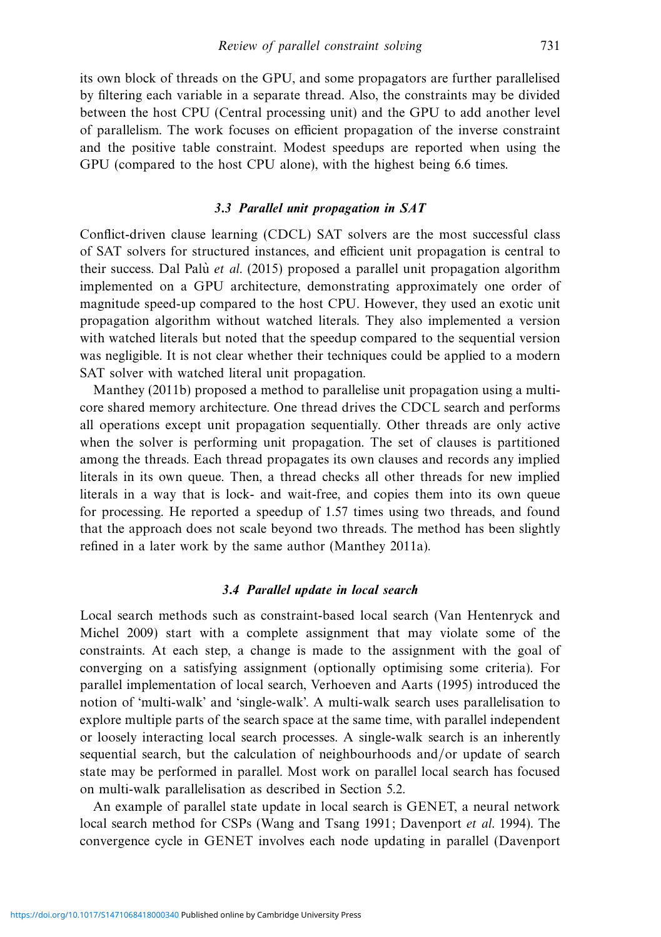its own block of threads on the GPU, and some propagators are further parallelised by filtering each variable in a separate thread. Also, the constraints may be divided between the host CPU (Central processing unit) and the GPU to add another level of parallelism. The work focuses on efficient propagation of the inverse constraint and the positive table constraint. Modest speedups are reported when using the GPU (compared to the host CPU alone), with the highest being 6.6 times.

### *3.3 Parallel unit propagation in SAT*

Conflict-driven clause learning (CDCL) SAT solvers are the most successful class of SAT solvers for structured instances, and efficient unit propagation is central to their success. Dal Palu` et al. (2015) proposed a parallel unit propagation algorithm implemented on a GPU architecture, demonstrating approximately one order of magnitude speed-up compared to the host CPU. However, they used an exotic unit propagation algorithm without watched literals. They also implemented a version with watched literals but noted that the speedup compared to the sequential version was negligible. It is not clear whether their techniques could be applied to a modern SAT solver with watched literal unit propagation.

Manthey (2011b) proposed a method to parallelise unit propagation using a multicore shared memory architecture. One thread drives the CDCL search and performs all operations except unit propagation sequentially. Other threads are only active when the solver is performing unit propagation. The set of clauses is partitioned among the threads. Each thread propagates its own clauses and records any implied literals in its own queue. Then, a thread checks all other threads for new implied literals in a way that is lock- and wait-free, and copies them into its own queue for processing. He reported a speedup of 1.57 times using two threads, and found that the approach does not scale beyond two threads. The method has been slightly refined in a later work by the same author (Manthey 2011a).

#### *3.4 Parallel update in local search*

Local search methods such as constraint-based local search (Van Hentenryck and Michel 2009) start with a complete assignment that may violate some of the constraints. At each step, a change is made to the assignment with the goal of converging on a satisfying assignment (optionally optimising some criteria). For parallel implementation of local search, Verhoeven and Aarts (1995) introduced the notion of 'multi-walk' and 'single-walk'. A multi-walk search uses parallelisation to explore multiple parts of the search space at the same time, with parallel independent or loosely interacting local search processes. A single-walk search is an inherently sequential search, but the calculation of neighbourhoods and/or update of search state may be performed in parallel. Most work on parallel local search has focused on multi-walk parallelisation as described in Section 5.2.

An example of parallel state update in local search is GENET, a neural network local search method for CSPs (Wang and Tsang 1991; Davenport et al. 1994). The convergence cycle in GENET involves each node updating in parallel (Davenport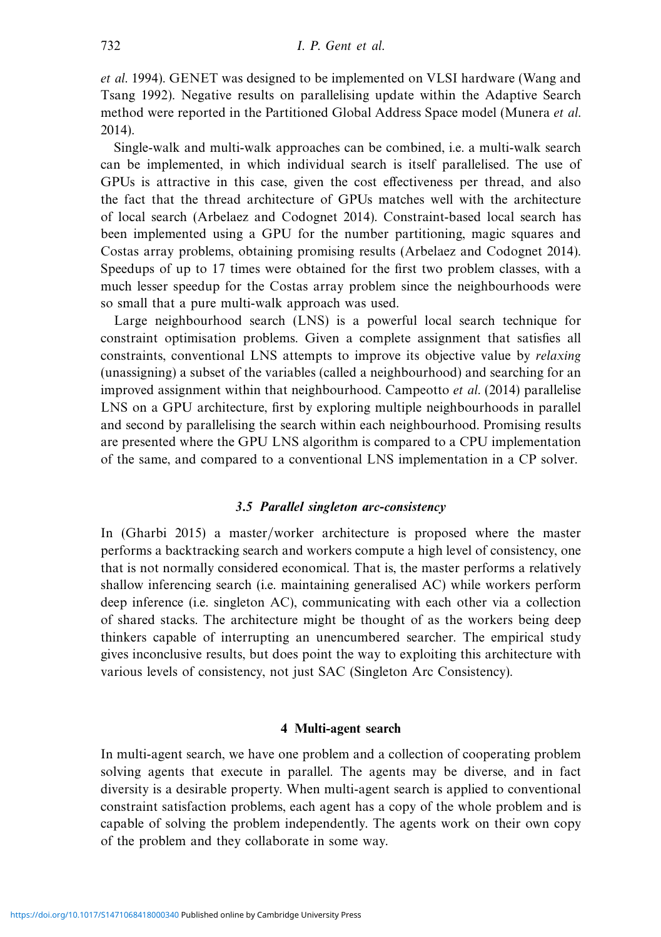et al. 1994). GENET was designed to be implemented on VLSI hardware (Wang and Tsang 1992). Negative results on parallelising update within the Adaptive Search method were reported in the Partitioned Global Address Space model (Munera et al. 2014).

Single-walk and multi-walk approaches can be combined, i.e. a multi-walk search can be implemented, in which individual search is itself parallelised. The use of GPUs is attractive in this case, given the cost effectiveness per thread, and also the fact that the thread architecture of GPUs matches well with the architecture of local search (Arbelaez and Codognet 2014). Constraint-based local search has been implemented using a GPU for the number partitioning, magic squares and Costas array problems, obtaining promising results (Arbelaez and Codognet 2014). Speedups of up to 17 times were obtained for the first two problem classes, with a much lesser speedup for the Costas array problem since the neighbourhoods were so small that a pure multi-walk approach was used.

Large neighbourhood search (LNS) is a powerful local search technique for constraint optimisation problems. Given a complete assignment that satisfies all constraints, conventional LNS attempts to improve its objective value by relaxing (unassigning) a subset of the variables (called a neighbourhood) and searching for an improved assignment within that neighbourhood. Campeotto et al. (2014) parallelise LNS on a GPU architecture, first by exploring multiple neighbourhoods in parallel and second by parallelising the search within each neighbourhood. Promising results are presented where the GPU LNS algorithm is compared to a CPU implementation of the same, and compared to a conventional LNS implementation in a CP solver.

#### *3.5 Parallel singleton arc-consistency*

In (Gharbi 2015) a master/worker architecture is proposed where the master performs a backtracking search and workers compute a high level of consistency, one that is not normally considered economical. That is, the master performs a relatively shallow inferencing search (i.e. maintaining generalised AC) while workers perform deep inference (i.e. singleton AC), communicating with each other via a collection of shared stacks. The architecture might be thought of as the workers being deep thinkers capable of interrupting an unencumbered searcher. The empirical study gives inconclusive results, but does point the way to exploiting this architecture with various levels of consistency, not just SAC (Singleton Arc Consistency).

#### **4 Multi-agent search**

In multi-agent search, we have one problem and a collection of cooperating problem solving agents that execute in parallel. The agents may be diverse, and in fact diversity is a desirable property. When multi-agent search is applied to conventional constraint satisfaction problems, each agent has a copy of the whole problem and is capable of solving the problem independently. The agents work on their own copy of the problem and they collaborate in some way.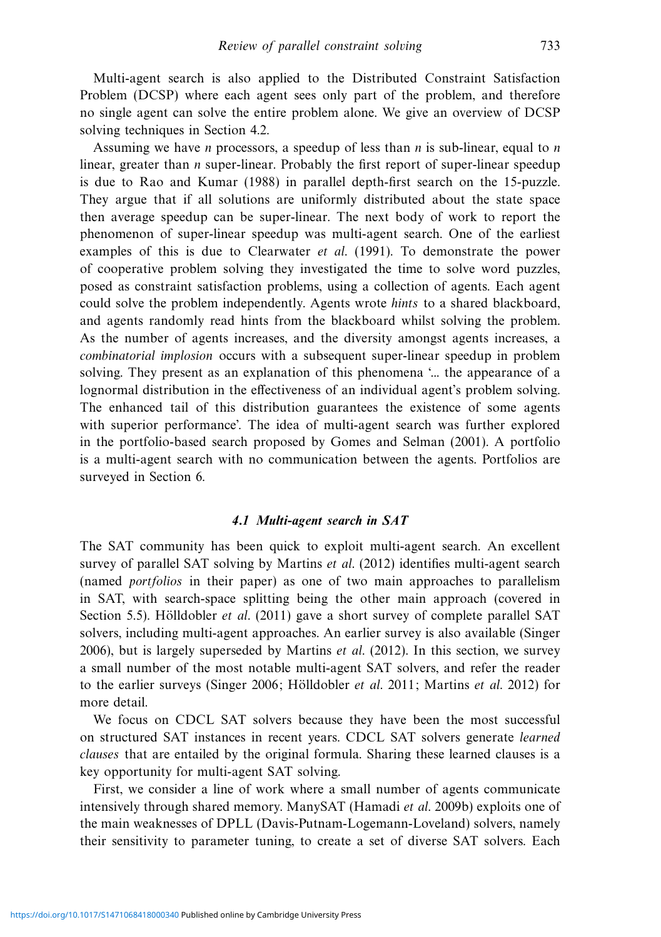Multi-agent search is also applied to the Distributed Constraint Satisfaction Problem (DCSP) where each agent sees only part of the problem, and therefore no single agent can solve the entire problem alone. We give an overview of DCSP solving techniques in Section 4.2.

Assuming we have *n* processors, a speedup of less than *n* is sub-linear, equal to *n* linear, greater than *n* super-linear. Probably the first report of super-linear speedup is due to Rao and Kumar (1988) in parallel depth-first search on the 15-puzzle. They argue that if all solutions are uniformly distributed about the state space then average speedup can be super-linear. The next body of work to report the phenomenon of super-linear speedup was multi-agent search. One of the earliest examples of this is due to Clearwater *et al.* (1991). To demonstrate the power of cooperative problem solving they investigated the time to solve word puzzles, posed as constraint satisfaction problems, using a collection of agents. Each agent could solve the problem independently. Agents wrote hints to a shared blackboard, and agents randomly read hints from the blackboard whilst solving the problem. As the number of agents increases, and the diversity amongst agents increases, a combinatorial implosion occurs with a subsequent super-linear speedup in problem solving. They present as an explanation of this phenomena '... the appearance of a lognormal distribution in the effectiveness of an individual agent's problem solving. The enhanced tail of this distribution guarantees the existence of some agents with superior performance'. The idea of multi-agent search was further explored in the portfolio-based search proposed by Gomes and Selman (2001). A portfolio is a multi-agent search with no communication between the agents. Portfolios are surveyed in Section 6.

### *4.1 Multi-agent search in SAT*

The SAT community has been quick to exploit multi-agent search. An excellent survey of parallel SAT solving by Martins et al. (2012) identifies multi-agent search (named portfolios in their paper) as one of two main approaches to parallelism in SAT, with search-space splitting being the other main approach (covered in Section 5.5). Hölldobler *et al.* (2011) gave a short survey of complete parallel SAT solvers, including multi-agent approaches. An earlier survey is also available (Singer 2006), but is largely superseded by Martins *et al.* (2012). In this section, we survey a small number of the most notable multi-agent SAT solvers, and refer the reader to the earlier surveys (Singer 2006; Hölldobler *et al.* 2011; Martins *et al.* 2012) for more detail.

We focus on CDCL SAT solvers because they have been the most successful on structured SAT instances in recent years. CDCL SAT solvers generate learned clauses that are entailed by the original formula. Sharing these learned clauses is a key opportunity for multi-agent SAT solving.

First, we consider a line of work where a small number of agents communicate intensively through shared memory. ManySAT (Hamadi et al. 2009b) exploits one of the main weaknesses of DPLL (Davis-Putnam-Logemann-Loveland) solvers, namely their sensitivity to parameter tuning, to create a set of diverse SAT solvers. Each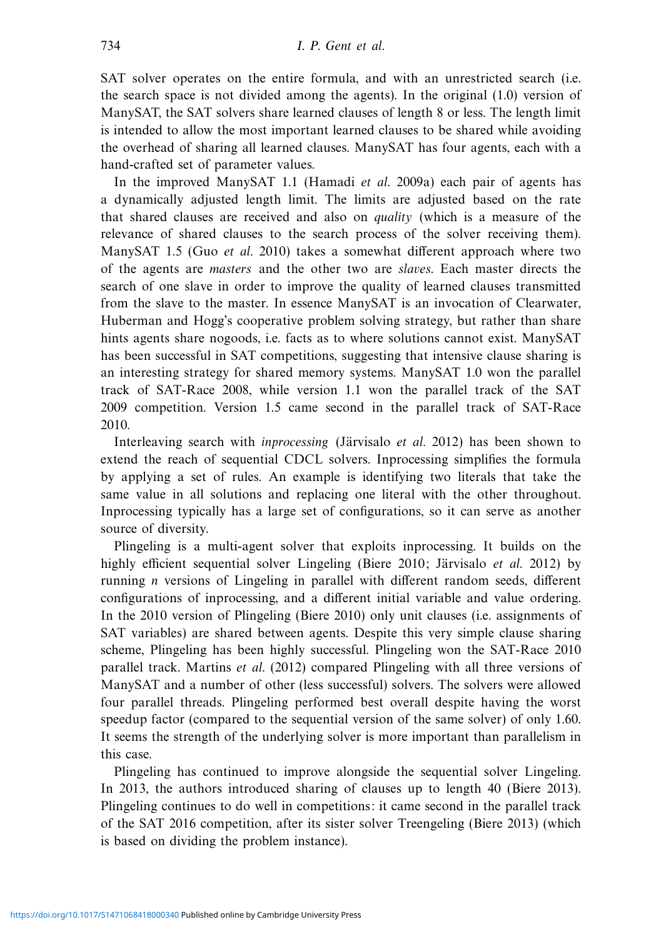SAT solver operates on the entire formula, and with an unrestricted search (i.e. the search space is not divided among the agents). In the original (1.0) version of ManySAT, the SAT solvers share learned clauses of length 8 or less. The length limit is intended to allow the most important learned clauses to be shared while avoiding the overhead of sharing all learned clauses. ManySAT has four agents, each with a hand-crafted set of parameter values.

In the improved ManySAT 1.1 (Hamadi et al. 2009a) each pair of agents has a dynamically adjusted length limit. The limits are adjusted based on the rate that shared clauses are received and also on quality (which is a measure of the relevance of shared clauses to the search process of the solver receiving them). ManySAT 1.5 (Guo et al. 2010) takes a somewhat different approach where two of the agents are masters and the other two are slaves. Each master directs the search of one slave in order to improve the quality of learned clauses transmitted from the slave to the master. In essence ManySAT is an invocation of Clearwater, Huberman and Hogg's cooperative problem solving strategy, but rather than share hints agents share nogoods, i.e. facts as to where solutions cannot exist. ManySAT has been successful in SAT competitions, suggesting that intensive clause sharing is an interesting strategy for shared memory systems. ManySAT 1.0 won the parallel track of SAT-Race 2008, while version 1.1 won the parallel track of the SAT 2009 competition. Version 1.5 came second in the parallel track of SAT-Race 2010.

Interleaving search with *inprocessing* (Järvisalo *et al.* 2012) has been shown to extend the reach of sequential CDCL solvers. Inprocessing simplifies the formula by applying a set of rules. An example is identifying two literals that take the same value in all solutions and replacing one literal with the other throughout. Inprocessing typically has a large set of configurations, so it can serve as another source of diversity.

Plingeling is a multi-agent solver that exploits inprocessing. It builds on the highly efficient sequential solver Lingeling (Biere 2010; Järvisalo et al. 2012) by running *n* versions of Lingeling in parallel with different random seeds, different configurations of inprocessing, and a different initial variable and value ordering. In the 2010 version of Plingeling (Biere 2010) only unit clauses (i.e. assignments of SAT variables) are shared between agents. Despite this very simple clause sharing scheme, Plingeling has been highly successful. Plingeling won the SAT-Race 2010 parallel track. Martins et al. (2012) compared Plingeling with all three versions of ManySAT and a number of other (less successful) solvers. The solvers were allowed four parallel threads. Plingeling performed best overall despite having the worst speedup factor (compared to the sequential version of the same solver) of only 1.60. It seems the strength of the underlying solver is more important than parallelism in this case.

Plingeling has continued to improve alongside the sequential solver Lingeling. In 2013, the authors introduced sharing of clauses up to length 40 (Biere 2013). Plingeling continues to do well in competitions: it came second in the parallel track of the SAT 2016 competition, after its sister solver Treengeling (Biere 2013) (which is based on dividing the problem instance).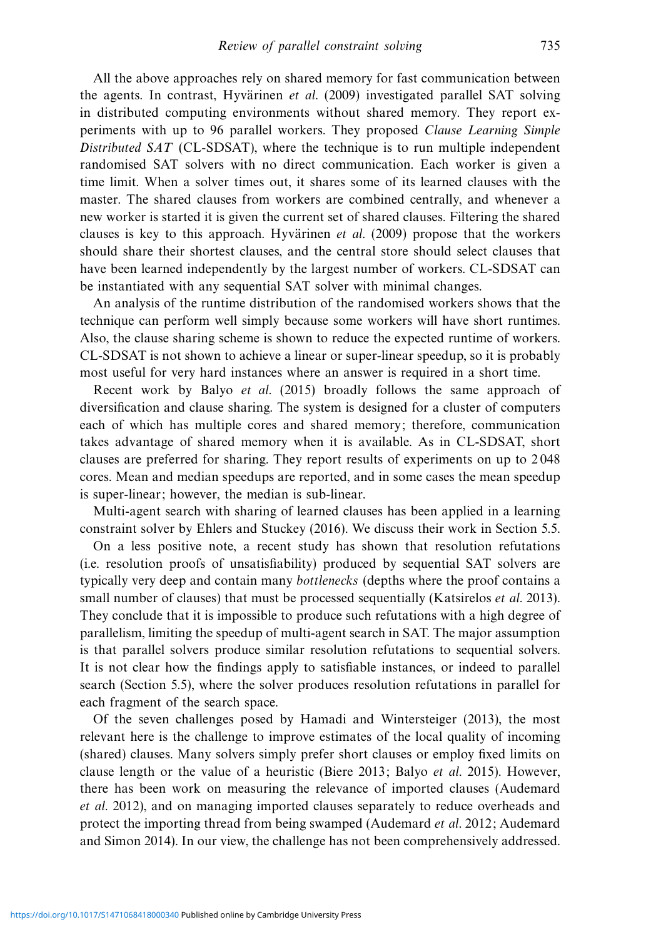All the above approaches rely on shared memory for fast communication between the agents. In contrast, Hyvärinen *et al.* (2009) investigated parallel SAT solving in distributed computing environments without shared memory. They report experiments with up to 96 parallel workers. They proposed Clause Learning Simple Distributed SAT (CL-SDSAT), where the technique is to run multiple independent randomised SAT solvers with no direct communication. Each worker is given a time limit. When a solver times out, it shares some of its learned clauses with the master. The shared clauses from workers are combined centrally, and whenever a new worker is started it is given the current set of shared clauses. Filtering the shared clauses is key to this approach. Hyvärinen *et al.* (2009) propose that the workers should share their shortest clauses, and the central store should select clauses that have been learned independently by the largest number of workers. CL-SDSAT can be instantiated with any sequential SAT solver with minimal changes.

An analysis of the runtime distribution of the randomised workers shows that the technique can perform well simply because some workers will have short runtimes. Also, the clause sharing scheme is shown to reduce the expected runtime of workers. CL-SDSAT is not shown to achieve a linear or super-linear speedup, so it is probably most useful for very hard instances where an answer is required in a short time.

Recent work by Balyo et al. (2015) broadly follows the same approach of diversification and clause sharing. The system is designed for a cluster of computers each of which has multiple cores and shared memory; therefore, communication takes advantage of shared memory when it is available. As in CL-SDSAT, short clauses are preferred for sharing. They report results of experiments on up to 2 048 cores. Mean and median speedups are reported, and in some cases the mean speedup is super-linear; however, the median is sub-linear.

Multi-agent search with sharing of learned clauses has been applied in a learning constraint solver by Ehlers and Stuckey (2016). We discuss their work in Section 5.5.

On a less positive note, a recent study has shown that resolution refutations (i.e. resolution proofs of unsatisfiability) produced by sequential SAT solvers are typically very deep and contain many bottlenecks (depths where the proof contains a small number of clauses) that must be processed sequentially (Katsirelos *et al.* 2013). They conclude that it is impossible to produce such refutations with a high degree of parallelism, limiting the speedup of multi-agent search in SAT. The major assumption is that parallel solvers produce similar resolution refutations to sequential solvers. It is not clear how the findings apply to satisfiable instances, or indeed to parallel search (Section 5.5), where the solver produces resolution refutations in parallel for each fragment of the search space.

Of the seven challenges posed by Hamadi and Wintersteiger (2013), the most relevant here is the challenge to improve estimates of the local quality of incoming (shared) clauses. Many solvers simply prefer short clauses or employ fixed limits on clause length or the value of a heuristic (Biere 2013; Balyo et al. 2015). However, there has been work on measuring the relevance of imported clauses (Audemard et al. 2012), and on managing imported clauses separately to reduce overheads and protect the importing thread from being swamped (Audemard et al. 2012; Audemard and Simon 2014). In our view, the challenge has not been comprehensively addressed.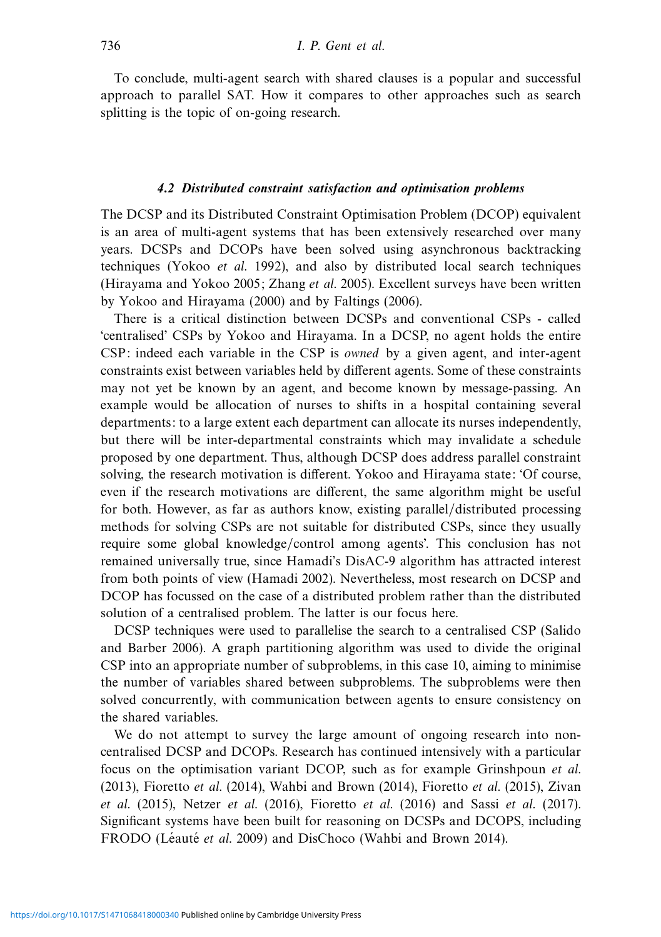To conclude, multi-agent search with shared clauses is a popular and successful approach to parallel SAT. How it compares to other approaches such as search splitting is the topic of on-going research.

## *4.2 Distributed constraint satisfaction and optimisation problems*

The DCSP and its Distributed Constraint Optimisation Problem (DCOP) equivalent is an area of multi-agent systems that has been extensively researched over many years. DCSPs and DCOPs have been solved using asynchronous backtracking techniques (Yokoo et al. 1992), and also by distributed local search techniques (Hirayama and Yokoo 2005; Zhang et al. 2005). Excellent surveys have been written by Yokoo and Hirayama (2000) and by Faltings (2006).

There is a critical distinction between DCSPs and conventional CSPs - called 'centralised' CSPs by Yokoo and Hirayama. In a DCSP, no agent holds the entire CSP: indeed each variable in the CSP is owned by a given agent, and inter-agent constraints exist between variables held by different agents. Some of these constraints may not yet be known by an agent, and become known by message-passing. An example would be allocation of nurses to shifts in a hospital containing several departments: to a large extent each department can allocate its nurses independently, but there will be inter-departmental constraints which may invalidate a schedule proposed by one department. Thus, although DCSP does address parallel constraint solving, the research motivation is different. Yokoo and Hirayama state: 'Of course, even if the research motivations are different, the same algorithm might be useful for both. However, as far as authors know, existing parallel/distributed processing methods for solving CSPs are not suitable for distributed CSPs, since they usually require some global knowledge/control among agents'. This conclusion has not remained universally true, since Hamadi's DisAC-9 algorithm has attracted interest from both points of view (Hamadi 2002). Nevertheless, most research on DCSP and DCOP has focussed on the case of a distributed problem rather than the distributed solution of a centralised problem. The latter is our focus here.

DCSP techniques were used to parallelise the search to a centralised CSP (Salido and Barber 2006). A graph partitioning algorithm was used to divide the original CSP into an appropriate number of subproblems, in this case 10, aiming to minimise the number of variables shared between subproblems. The subproblems were then solved concurrently, with communication between agents to ensure consistency on the shared variables.

We do not attempt to survey the large amount of ongoing research into noncentralised DCSP and DCOPs. Research has continued intensively with a particular focus on the optimisation variant DCOP, such as for example Grinshpoun et al. (2013), Fioretto et al. (2014), Wahbi and Brown (2014), Fioretto et al. (2015), Zivan et al.  $(2015)$ , Netzer et al.  $(2016)$ , Fioretto et al.  $(2016)$  and Sassi et al.  $(2017)$ . Significant systems have been built for reasoning on DCSPs and DCOPS, including FRODO (Léauté et al. 2009) and DisChoco (Wahbi and Brown 2014).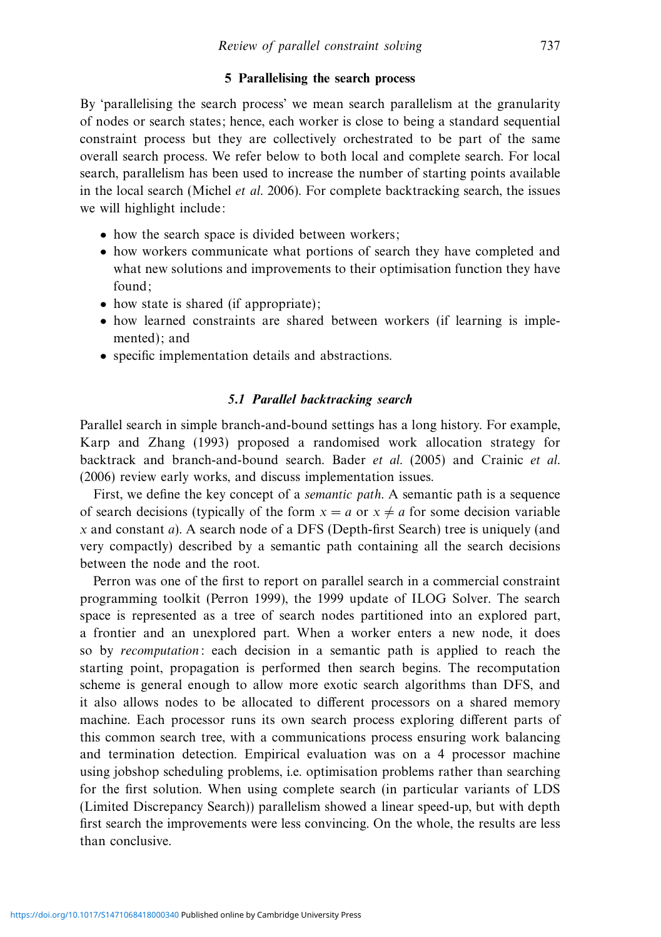#### **5 Parallelising the search process**

By 'parallelising the search process' we mean search parallelism at the granularity of nodes or search states; hence, each worker is close to being a standard sequential constraint process but they are collectively orchestrated to be part of the same overall search process. We refer below to both local and complete search. For local search, parallelism has been used to increase the number of starting points available in the local search (Michel et al. 2006). For complete backtracking search, the issues we will highlight include:

- how the search space is divided between workers;
- how workers communicate what portions of search they have completed and what new solutions and improvements to their optimisation function they have found;
- how state is shared (if appropriate);
- how learned constraints are shared between workers (if learning is implemented); and
- specific implementation details and abstractions.

#### *5.1 Parallel backtracking search*

Parallel search in simple branch-and-bound settings has a long history. For example, Karp and Zhang (1993) proposed a randomised work allocation strategy for backtrack and branch-and-bound search. Bader et al. (2005) and Crainic et al. (2006) review early works, and discuss implementation issues.

First, we define the key concept of a semantic path. A semantic path is a sequence of search decisions (typically of the form  $x = a$  or  $x \neq a$  for some decision variable *x* and constant *a*). A search node of a DFS (Depth-first Search) tree is uniquely (and very compactly) described by a semantic path containing all the search decisions between the node and the root.

Perron was one of the first to report on parallel search in a commercial constraint programming toolkit (Perron 1999), the 1999 update of ILOG Solver. The search space is represented as a tree of search nodes partitioned into an explored part, a frontier and an unexplored part. When a worker enters a new node, it does so by recomputation: each decision in a semantic path is applied to reach the starting point, propagation is performed then search begins. The recomputation scheme is general enough to allow more exotic search algorithms than DFS, and it also allows nodes to be allocated to different processors on a shared memory machine. Each processor runs its own search process exploring different parts of this common search tree, with a communications process ensuring work balancing and termination detection. Empirical evaluation was on a 4 processor machine using jobshop scheduling problems, i.e. optimisation problems rather than searching for the first solution. When using complete search (in particular variants of LDS (Limited Discrepancy Search)) parallelism showed a linear speed-up, but with depth first search the improvements were less convincing. On the whole, the results are less than conclusive.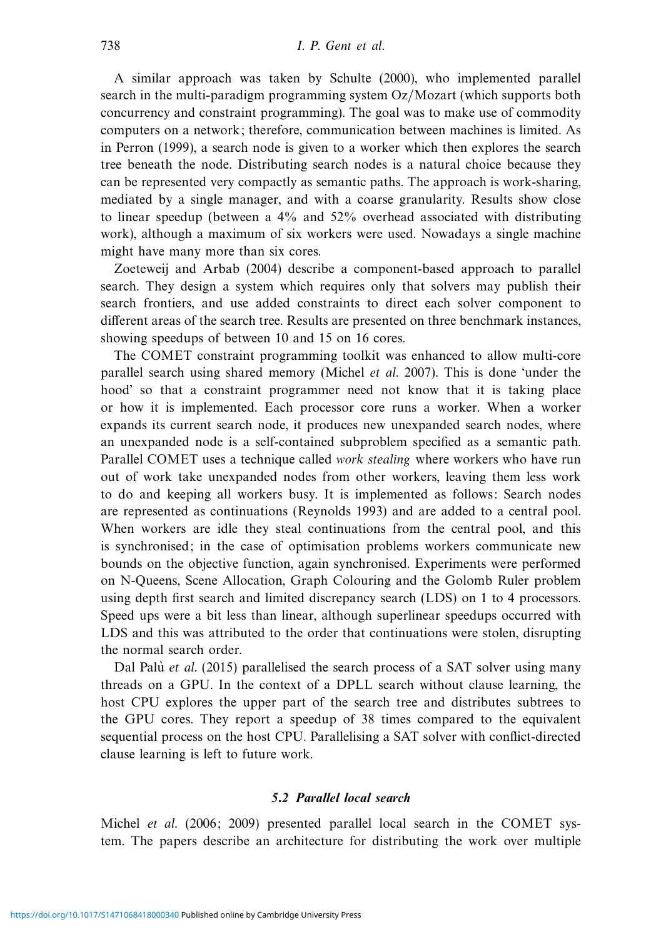A similar approach was taken by Schulte (2000), who implemented parallel search in the multi-paradigm programming system Oz/Mozart (which supports both concurrency and constraint programming). The goal was to make use of commodity computers on a network; therefore, communication between machines is limited. As in Perron (1999), a search node is given to a worker which then explores the search tree beneath the node. Distributing search nodes is a natural choice because they can be represented very compactly as semantic paths. The approach is work-sharing, mediated by a single manager, and with a coarse granularity. Results show close to linear speedup (between a 4% and 52% overhead associated with distributing work), although a maximum of six workers were used. Nowadays a single machine might have many more than six cores.

Zoeteweij and Arbab (2004) describe a component-based approach to parallel search. They design a system which requires only that solvers may publish their search frontiers, and use added constraints to direct each solver component to different areas of the search tree. Results are presented on three benchmark instances, showing speedups of between 10 and 15 on 16 cores.

The COMET constraint programming toolkit was enhanced to allow multi-core parallel search using shared memory (Michel et al. 2007). This is done 'under the hood' so that a constraint programmer need not know that it is taking place or how it is implemented. Each processor core runs a worker. When a worker expands its current search node, it produces new unexpanded search nodes, where an unexpanded node is a self-contained subproblem specified as a semantic path. Parallel COMET uses a technique called work stealing where workers who have run out of work take unexpanded nodes from other workers, leaving them less work to do and keeping all workers busy. It is implemented as follows: Search nodes are represented as continuations (Reynolds 1993) and are added to a central pool. When workers are idle they steal continuations from the central pool, and this is synchronised; in the case of optimisation problems workers communicate new bounds on the objective function, again synchronised. Experiments were performed on N-Queens, Scene Allocation, Graph Colouring and the Golomb Ruler problem using depth first search and limited discrepancy search (LDS) on 1 to 4 processors. Speed ups were a bit less than linear, although superlinear speedups occurred with LDS and this was attributed to the order that continuations were stolen, disrupting the normal search order.

Dal Palu` et al. (2015) parallelised the search process of a SAT solver using many threads on a GPU. In the context of a DPLL search without clause learning, the host CPU explores the upper part of the search tree and distributes subtrees to the GPU cores. They report a speedup of 38 times compared to the equivalent sequential process on the host CPU. Parallelising a SAT solver with conflict-directed clause learning is left to future work.

## *5.2 Parallel local search*

Michel et al. (2006; 2009) presented parallel local search in the COMET system. The papers describe an architecture for distributing the work over multiple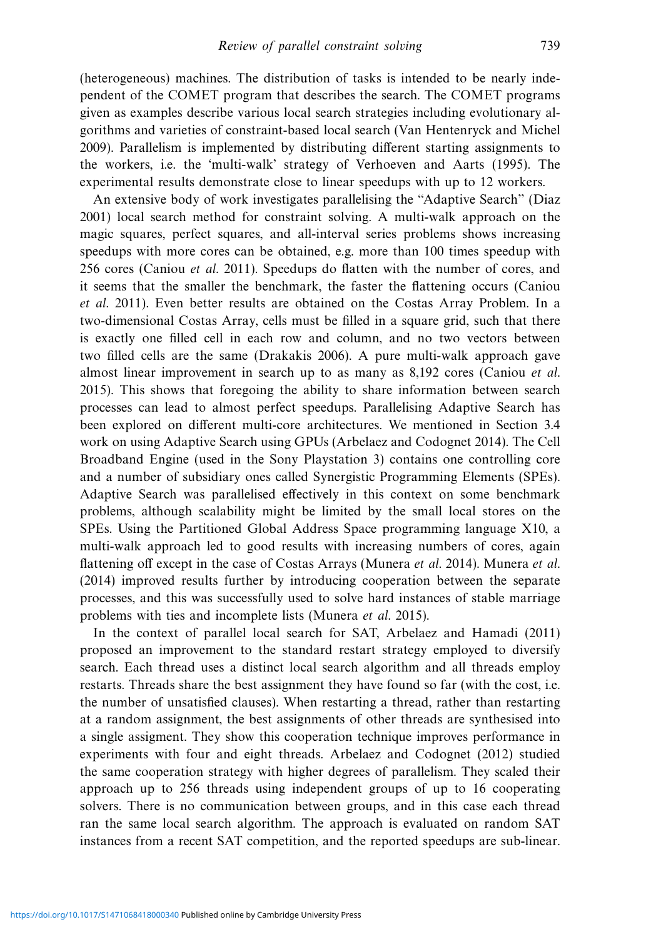(heterogeneous) machines. The distribution of tasks is intended to be nearly independent of the COMET program that describes the search. The COMET programs given as examples describe various local search strategies including evolutionary algorithms and varieties of constraint-based local search (Van Hentenryck and Michel 2009). Parallelism is implemented by distributing different starting assignments to the workers, i.e. the 'multi-walk' strategy of Verhoeven and Aarts (1995). The experimental results demonstrate close to linear speedups with up to 12 workers.

An extensive body of work investigates parallelising the "Adaptive Search" (Diaz 2001) local search method for constraint solving. A multi-walk approach on the magic squares, perfect squares, and all-interval series problems shows increasing speedups with more cores can be obtained, e.g. more than 100 times speedup with 256 cores (Caniou et al. 2011). Speedups do flatten with the number of cores, and it seems that the smaller the benchmark, the faster the flattening occurs (Caniou et al. 2011). Even better results are obtained on the Costas Array Problem. In a two-dimensional Costas Array, cells must be filled in a square grid, such that there is exactly one filled cell in each row and column, and no two vectors between two filled cells are the same (Drakakis 2006). A pure multi-walk approach gave almost linear improvement in search up to as many as 8,192 cores (Caniou et al. 2015). This shows that foregoing the ability to share information between search processes can lead to almost perfect speedups. Parallelising Adaptive Search has been explored on different multi-core architectures. We mentioned in Section 3.4 work on using Adaptive Search using GPUs (Arbelaez and Codognet 2014). The Cell Broadband Engine (used in the Sony Playstation 3) contains one controlling core and a number of subsidiary ones called Synergistic Programming Elements (SPEs). Adaptive Search was parallelised effectively in this context on some benchmark problems, although scalability might be limited by the small local stores on the SPEs. Using the Partitioned Global Address Space programming language X10, a multi-walk approach led to good results with increasing numbers of cores, again flattening off except in the case of Costas Arrays (Munera et al. 2014). Munera et al. (2014) improved results further by introducing cooperation between the separate processes, and this was successfully used to solve hard instances of stable marriage problems with ties and incomplete lists (Munera et al. 2015).

In the context of parallel local search for SAT, Arbelaez and Hamadi (2011) proposed an improvement to the standard restart strategy employed to diversify search. Each thread uses a distinct local search algorithm and all threads employ restarts. Threads share the best assignment they have found so far (with the cost, i.e. the number of unsatisfied clauses). When restarting a thread, rather than restarting at a random assignment, the best assignments of other threads are synthesised into a single assigment. They show this cooperation technique improves performance in experiments with four and eight threads. Arbelaez and Codognet (2012) studied the same cooperation strategy with higher degrees of parallelism. They scaled their approach up to 256 threads using independent groups of up to 16 cooperating solvers. There is no communication between groups, and in this case each thread ran the same local search algorithm. The approach is evaluated on random SAT instances from a recent SAT competition, and the reported speedups are sub-linear.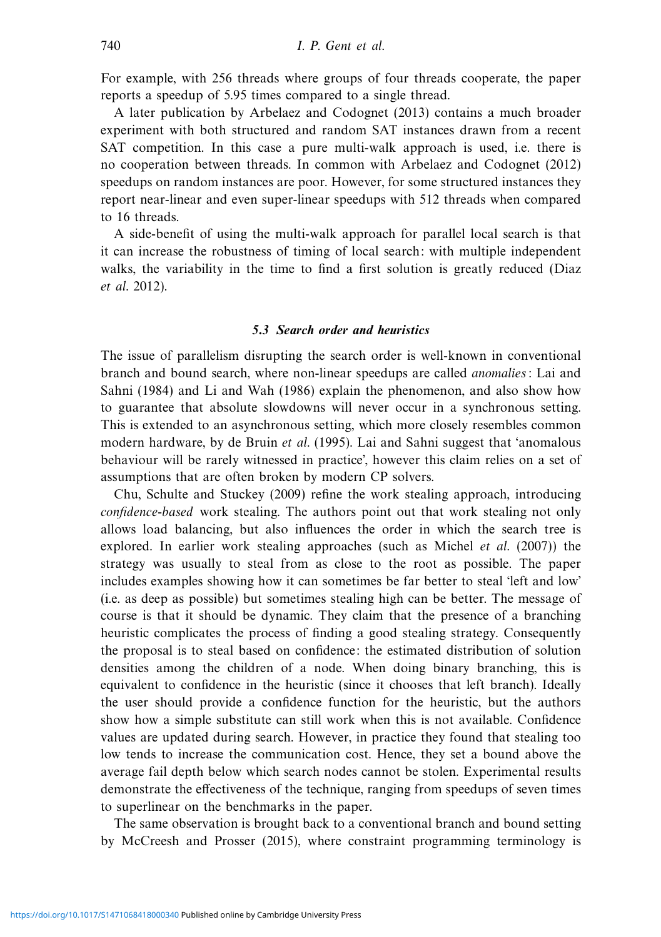For example, with 256 threads where groups of four threads cooperate, the paper reports a speedup of 5.95 times compared to a single thread.

A later publication by Arbelaez and Codognet (2013) contains a much broader experiment with both structured and random SAT instances drawn from a recent SAT competition. In this case a pure multi-walk approach is used, i.e. there is no cooperation between threads. In common with Arbelaez and Codognet (2012) speedups on random instances are poor. However, for some structured instances they report near-linear and even super-linear speedups with 512 threads when compared to 16 threads.

A side-benefit of using the multi-walk approach for parallel local search is that it can increase the robustness of timing of local search: with multiple independent walks, the variability in the time to find a first solution is greatly reduced (Diaz et al. 2012).

#### *5.3 Search order and heuristics*

The issue of parallelism disrupting the search order is well-known in conventional branch and bound search, where non-linear speedups are called anomalies: Lai and Sahni (1984) and Li and Wah (1986) explain the phenomenon, and also show how to guarantee that absolute slowdowns will never occur in a synchronous setting. This is extended to an asynchronous setting, which more closely resembles common modern hardware, by de Bruin et al. (1995). Lai and Sahni suggest that 'anomalous behaviour will be rarely witnessed in practice', however this claim relies on a set of assumptions that are often broken by modern CP solvers.

Chu, Schulte and Stuckey (2009) refine the work stealing approach, introducing confidence-based work stealing. The authors point out that work stealing not only allows load balancing, but also influences the order in which the search tree is explored. In earlier work stealing approaches (such as Michel et al. (2007)) the strategy was usually to steal from as close to the root as possible. The paper includes examples showing how it can sometimes be far better to steal 'left and low' (i.e. as deep as possible) but sometimes stealing high can be better. The message of course is that it should be dynamic. They claim that the presence of a branching heuristic complicates the process of finding a good stealing strategy. Consequently the proposal is to steal based on confidence: the estimated distribution of solution densities among the children of a node. When doing binary branching, this is equivalent to confidence in the heuristic (since it chooses that left branch). Ideally the user should provide a confidence function for the heuristic, but the authors show how a simple substitute can still work when this is not available. Confidence values are updated during search. However, in practice they found that stealing too low tends to increase the communication cost. Hence, they set a bound above the average fail depth below which search nodes cannot be stolen. Experimental results demonstrate the effectiveness of the technique, ranging from speedups of seven times to superlinear on the benchmarks in the paper.

The same observation is brought back to a conventional branch and bound setting by McCreesh and Prosser (2015), where constraint programming terminology is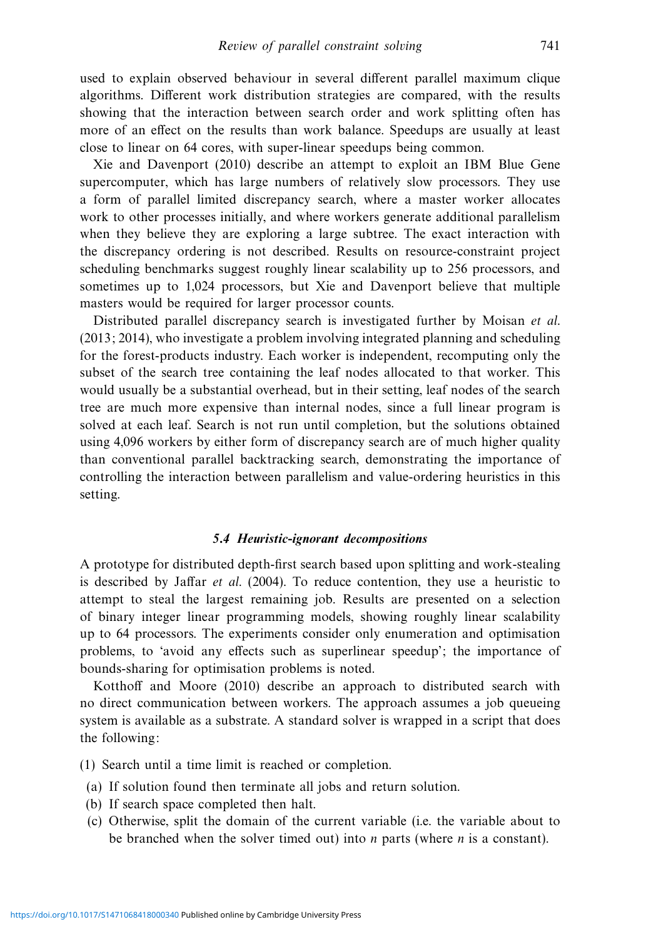used to explain observed behaviour in several different parallel maximum clique algorithms. Different work distribution strategies are compared, with the results showing that the interaction between search order and work splitting often has more of an effect on the results than work balance. Speedups are usually at least close to linear on 64 cores, with super-linear speedups being common.

Xie and Davenport (2010) describe an attempt to exploit an IBM Blue Gene supercomputer, which has large numbers of relatively slow processors. They use a form of parallel limited discrepancy search, where a master worker allocates work to other processes initially, and where workers generate additional parallelism when they believe they are exploring a large subtree. The exact interaction with the discrepancy ordering is not described. Results on resource-constraint project scheduling benchmarks suggest roughly linear scalability up to 256 processors, and sometimes up to 1,024 processors, but Xie and Davenport believe that multiple masters would be required for larger processor counts.

Distributed parallel discrepancy search is investigated further by Moisan et al. (2013; 2014), who investigate a problem involving integrated planning and scheduling for the forest-products industry. Each worker is independent, recomputing only the subset of the search tree containing the leaf nodes allocated to that worker. This would usually be a substantial overhead, but in their setting, leaf nodes of the search tree are much more expensive than internal nodes, since a full linear program is solved at each leaf. Search is not run until completion, but the solutions obtained using 4,096 workers by either form of discrepancy search are of much higher quality than conventional parallel backtracking search, demonstrating the importance of controlling the interaction between parallelism and value-ordering heuristics in this setting.

## *5.4 Heuristic-ignorant decompositions*

A prototype for distributed depth-first search based upon splitting and work-stealing is described by Jaffar *et al.* (2004). To reduce contention, they use a heuristic to attempt to steal the largest remaining job. Results are presented on a selection of binary integer linear programming models, showing roughly linear scalability up to 64 processors. The experiments consider only enumeration and optimisation problems, to 'avoid any effects such as superlinear speedup'; the importance of bounds-sharing for optimisation problems is noted.

Kotthoff and Moore (2010) describe an approach to distributed search with no direct communication between workers. The approach assumes a job queueing system is available as a substrate. A standard solver is wrapped in a script that does the following:

- (1) Search until a time limit is reached or completion.
- (a) If solution found then terminate all jobs and return solution.
- (b) If search space completed then halt.
- (c) Otherwise, split the domain of the current variable (i.e. the variable about to be branched when the solver timed out) into *n* parts (where *n* is a constant).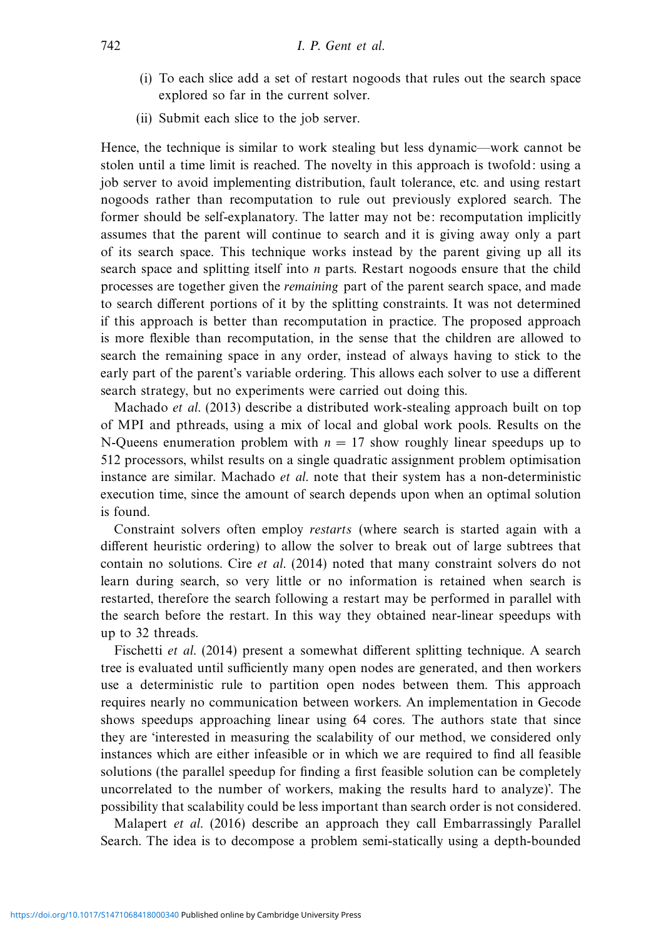- (i) To each slice add a set of restart nogoods that rules out the search space explored so far in the current solver.
- (ii) Submit each slice to the job server.

Hence, the technique is similar to work stealing but less dynamic—work cannot be stolen until a time limit is reached. The novelty in this approach is twofold: using a job server to avoid implementing distribution, fault tolerance, etc. and using restart nogoods rather than recomputation to rule out previously explored search. The former should be self-explanatory. The latter may not be: recomputation implicitly assumes that the parent will continue to search and it is giving away only a part of its search space. This technique works instead by the parent giving up all its search space and splitting itself into *n* parts. Restart nogoods ensure that the child processes are together given the remaining part of the parent search space, and made to search different portions of it by the splitting constraints. It was not determined if this approach is better than recomputation in practice. The proposed approach is more flexible than recomputation, in the sense that the children are allowed to search the remaining space in any order, instead of always having to stick to the early part of the parent's variable ordering. This allows each solver to use a different search strategy, but no experiments were carried out doing this.

Machado et al. (2013) describe a distributed work-stealing approach built on top of MPI and pthreads, using a mix of local and global work pools. Results on the N-Queens enumeration problem with  $n = 17$  show roughly linear speedups up to 512 processors, whilst results on a single quadratic assignment problem optimisation instance are similar. Machado *et al.* note that their system has a non-deterministic execution time, since the amount of search depends upon when an optimal solution is found.

Constraint solvers often employ restarts (where search is started again with a different heuristic ordering) to allow the solver to break out of large subtrees that contain no solutions. Cire et al. (2014) noted that many constraint solvers do not learn during search, so very little or no information is retained when search is restarted, therefore the search following a restart may be performed in parallel with the search before the restart. In this way they obtained near-linear speedups with up to 32 threads.

Fischetti et al. (2014) present a somewhat different splitting technique. A search tree is evaluated until sufficiently many open nodes are generated, and then workers use a deterministic rule to partition open nodes between them. This approach requires nearly no communication between workers. An implementation in Gecode shows speedups approaching linear using 64 cores. The authors state that since they are 'interested in measuring the scalability of our method, we considered only instances which are either infeasible or in which we are required to find all feasible solutions (the parallel speedup for finding a first feasible solution can be completely uncorrelated to the number of workers, making the results hard to analyze)'. The possibility that scalability could be less important than search order is not considered.

Malapert et al. (2016) describe an approach they call Embarrassingly Parallel Search. The idea is to decompose a problem semi-statically using a depth-bounded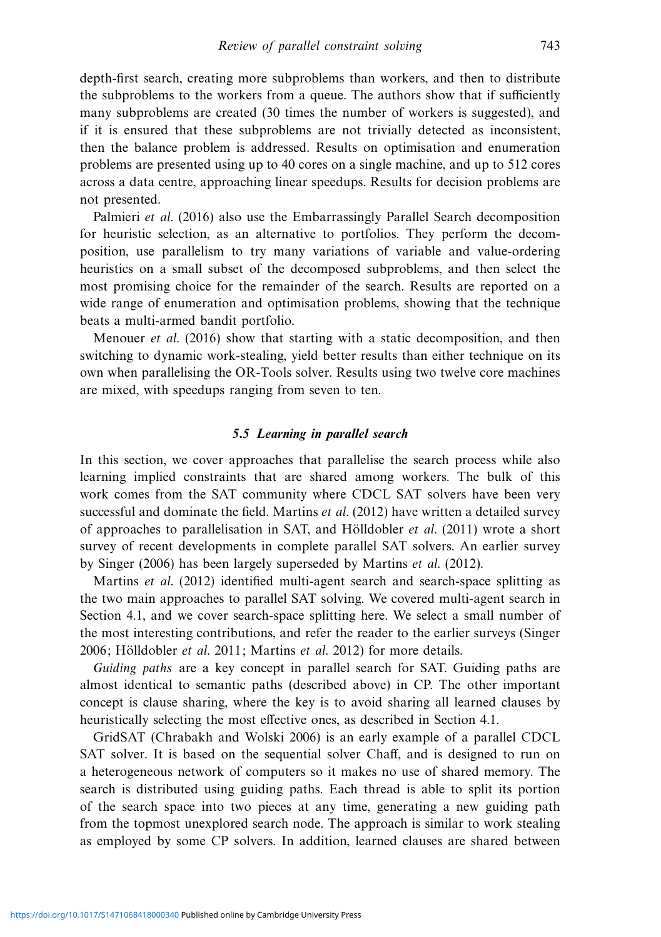depth-first search, creating more subproblems than workers, and then to distribute the subproblems to the workers from a queue. The authors show that if sufficiently many subproblems are created (30 times the number of workers is suggested), and if it is ensured that these subproblems are not trivially detected as inconsistent, then the balance problem is addressed. Results on optimisation and enumeration problems are presented using up to 40 cores on a single machine, and up to 512 cores across a data centre, approaching linear speedups. Results for decision problems are not presented.

Palmieri et al. (2016) also use the Embarrassingly Parallel Search decomposition for heuristic selection, as an alternative to portfolios. They perform the decomposition, use parallelism to try many variations of variable and value-ordering heuristics on a small subset of the decomposed subproblems, and then select the most promising choice for the remainder of the search. Results are reported on a wide range of enumeration and optimisation problems, showing that the technique beats a multi-armed bandit portfolio.

Menouer *et al.* (2016) show that starting with a static decomposition, and then switching to dynamic work-stealing, yield better results than either technique on its own when parallelising the OR-Tools solver. Results using two twelve core machines are mixed, with speedups ranging from seven to ten.

#### *5.5 Learning in parallel search*

In this section, we cover approaches that parallelise the search process while also learning implied constraints that are shared among workers. The bulk of this work comes from the SAT community where CDCL SAT solvers have been very successful and dominate the field. Martins *et al.* (2012) have written a detailed survey of approaches to parallelisation in SAT, and Hölldobler *et al.* (2011) wrote a short survey of recent developments in complete parallel SAT solvers. An earlier survey by Singer (2006) has been largely superseded by Martins et al. (2012).

Martins et al. (2012) identified multi-agent search and search-space splitting as the two main approaches to parallel SAT solving. We covered multi-agent search in Section 4.1, and we cover search-space splitting here. We select a small number of the most interesting contributions, and refer the reader to the earlier surveys (Singer  $2006$ ; Hölldobler *et al.*  $2011$ ; Martins *et al.*  $2012$ ) for more details.

Guiding paths are a key concept in parallel search for SAT. Guiding paths are almost identical to semantic paths (described above) in CP. The other important concept is clause sharing, where the key is to avoid sharing all learned clauses by heuristically selecting the most effective ones, as described in Section 4.1.

GridSAT (Chrabakh and Wolski 2006) is an early example of a parallel CDCL SAT solver. It is based on the sequential solver Chaff, and is designed to run on a heterogeneous network of computers so it makes no use of shared memory. The search is distributed using guiding paths. Each thread is able to split its portion of the search space into two pieces at any time, generating a new guiding path from the topmost unexplored search node. The approach is similar to work stealing as employed by some CP solvers. In addition, learned clauses are shared between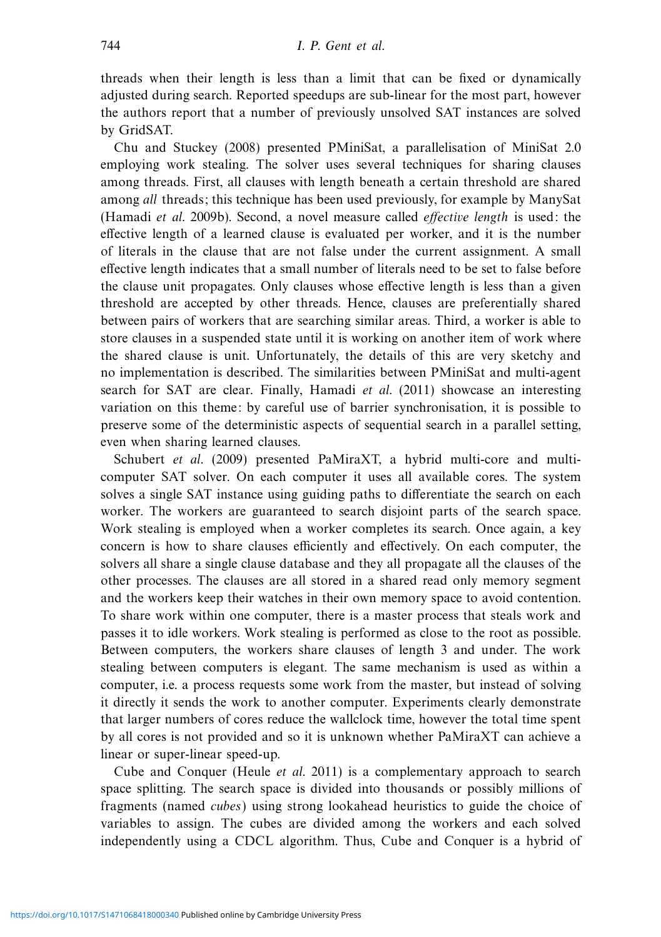threads when their length is less than a limit that can be fixed or dynamically adjusted during search. Reported speedups are sub-linear for the most part, however the authors report that a number of previously unsolved SAT instances are solved by GridSAT.

Chu and Stuckey (2008) presented PMiniSat, a parallelisation of MiniSat 2.0 employing work stealing. The solver uses several techniques for sharing clauses among threads. First, all clauses with length beneath a certain threshold are shared among all threads; this technique has been used previously, for example by ManySat (Hamadi et al. 2009b). Second, a novel measure called effective length is used: the effective length of a learned clause is evaluated per worker, and it is the number of literals in the clause that are not false under the current assignment. A small effective length indicates that a small number of literals need to be set to false before the clause unit propagates. Only clauses whose effective length is less than a given threshold are accepted by other threads. Hence, clauses are preferentially shared between pairs of workers that are searching similar areas. Third, a worker is able to store clauses in a suspended state until it is working on another item of work where the shared clause is unit. Unfortunately, the details of this are very sketchy and no implementation is described. The similarities between PMiniSat and multi-agent search for SAT are clear. Finally, Hamadi et al. (2011) showcase an interesting variation on this theme: by careful use of barrier synchronisation, it is possible to preserve some of the deterministic aspects of sequential search in a parallel setting, even when sharing learned clauses.

Schubert et al. (2009) presented PaMiraXT, a hybrid multi-core and multicomputer SAT solver. On each computer it uses all available cores. The system solves a single SAT instance using guiding paths to differentiate the search on each worker. The workers are guaranteed to search disjoint parts of the search space. Work stealing is employed when a worker completes its search. Once again, a key concern is how to share clauses efficiently and effectively. On each computer, the solvers all share a single clause database and they all propagate all the clauses of the other processes. The clauses are all stored in a shared read only memory segment and the workers keep their watches in their own memory space to avoid contention. To share work within one computer, there is a master process that steals work and passes it to idle workers. Work stealing is performed as close to the root as possible. Between computers, the workers share clauses of length 3 and under. The work stealing between computers is elegant. The same mechanism is used as within a computer, i.e. a process requests some work from the master, but instead of solving it directly it sends the work to another computer. Experiments clearly demonstrate that larger numbers of cores reduce the wallclock time, however the total time spent by all cores is not provided and so it is unknown whether PaMiraXT can achieve a linear or super-linear speed-up.

Cube and Conquer (Heule et al. 2011) is a complementary approach to search space splitting. The search space is divided into thousands or possibly millions of fragments (named cubes) using strong lookahead heuristics to guide the choice of variables to assign. The cubes are divided among the workers and each solved independently using a CDCL algorithm. Thus, Cube and Conquer is a hybrid of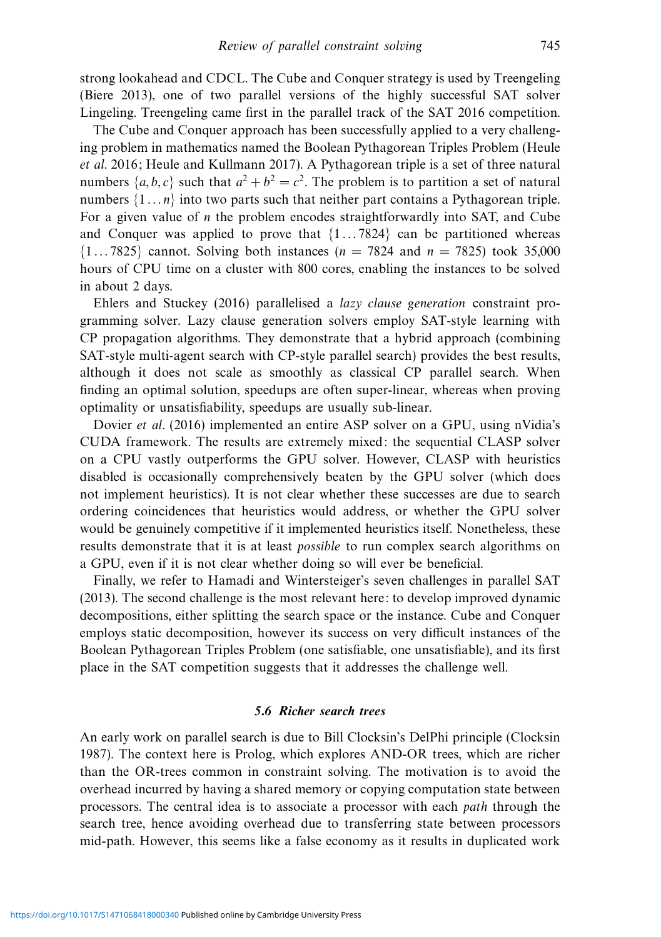strong lookahead and CDCL. The Cube and Conquer strategy is used by Treengeling (Biere 2013), one of two parallel versions of the highly successful SAT solver Lingeling. Treengeling came first in the parallel track of the SAT 2016 competition.

The Cube and Conquer approach has been successfully applied to a very challenging problem in mathematics named the Boolean Pythagorean Triples Problem (Heule et al. 2016; Heule and Kullmann 2017). A Pythagorean triple is a set of three natural numbers  $\{a, b, c\}$  such that  $a^2 + b^2 = c^2$ . The problem is to partition a set of natural numbers  $\{1...n\}$  into two parts such that neither part contains a Pythagorean triple. For a given value of *n* the problem encodes straightforwardly into SAT, and Cube and Conquer was applied to prove that  $\{1 \dots 7824\}$  can be partitioned whereas {1 *...* 7825} cannot. Solving both instances (*n* = 7824 and *n* = 7825) took 35,000 hours of CPU time on a cluster with 800 cores, enabling the instances to be solved in about 2 days.

Ehlers and Stuckey (2016) parallelised a lazy clause generation constraint programming solver. Lazy clause generation solvers employ SAT-style learning with CP propagation algorithms. They demonstrate that a hybrid approach (combining SAT-style multi-agent search with CP-style parallel search) provides the best results, although it does not scale as smoothly as classical CP parallel search. When finding an optimal solution, speedups are often super-linear, whereas when proving optimality or unsatisfiability, speedups are usually sub-linear.

Dovier et al. (2016) implemented an entire ASP solver on a GPU, using nVidia's CUDA framework. The results are extremely mixed: the sequential CLASP solver on a CPU vastly outperforms the GPU solver. However, CLASP with heuristics disabled is occasionally comprehensively beaten by the GPU solver (which does not implement heuristics). It is not clear whether these successes are due to search ordering coincidences that heuristics would address, or whether the GPU solver would be genuinely competitive if it implemented heuristics itself. Nonetheless, these results demonstrate that it is at least possible to run complex search algorithms on a GPU, even if it is not clear whether doing so will ever be beneficial.

Finally, we refer to Hamadi and Wintersteiger's seven challenges in parallel SAT (2013). The second challenge is the most relevant here: to develop improved dynamic decompositions, either splitting the search space or the instance. Cube and Conquer employs static decomposition, however its success on very difficult instances of the Boolean Pythagorean Triples Problem (one satisfiable, one unsatisfiable), and its first place in the SAT competition suggests that it addresses the challenge well.

#### *5.6 Richer search trees*

An early work on parallel search is due to Bill Clocksin's DelPhi principle (Clocksin 1987). The context here is Prolog, which explores AND-OR trees, which are richer than the OR-trees common in constraint solving. The motivation is to avoid the overhead incurred by having a shared memory or copying computation state between processors. The central idea is to associate a processor with each path through the search tree, hence avoiding overhead due to transferring state between processors mid-path. However, this seems like a false economy as it results in duplicated work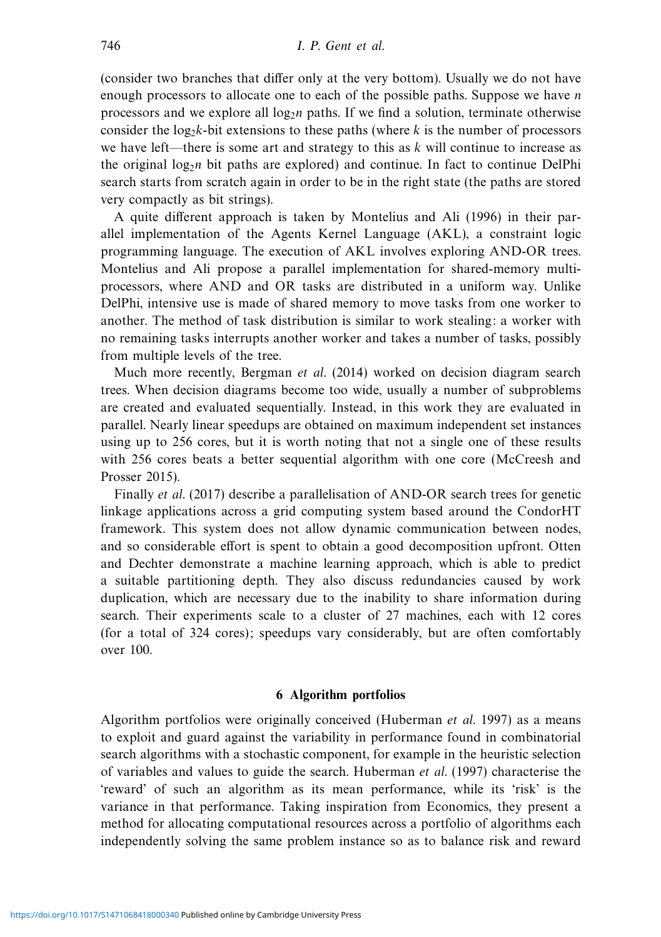(consider two branches that differ only at the very bottom). Usually we do not have enough processors to allocate one to each of the possible paths. Suppose we have *n* processors and we explore all  $log_2 n$  paths. If we find a solution, terminate otherwise consider the  $log_2k$ -bit extensions to these paths (where  $k$  is the number of processors we have left—there is some art and strategy to this as *k* will continue to increase as the original  $log_2 n$  bit paths are explored) and continue. In fact to continue DelPhi search starts from scratch again in order to be in the right state (the paths are stored very compactly as bit strings).

A quite different approach is taken by Montelius and Ali (1996) in their parallel implementation of the Agents Kernel Language (AKL), a constraint logic programming language. The execution of AKL involves exploring AND-OR trees. Montelius and Ali propose a parallel implementation for shared-memory multiprocessors, where AND and OR tasks are distributed in a uniform way. Unlike DelPhi, intensive use is made of shared memory to move tasks from one worker to another. The method of task distribution is similar to work stealing: a worker with no remaining tasks interrupts another worker and takes a number of tasks, possibly from multiple levels of the tree.

Much more recently, Bergman *et al.* (2014) worked on decision diagram search trees. When decision diagrams become too wide, usually a number of subproblems are created and evaluated sequentially. Instead, in this work they are evaluated in parallel. Nearly linear speedups are obtained on maximum independent set instances using up to 256 cores, but it is worth noting that not a single one of these results with 256 cores beats a better sequential algorithm with one core (McCreesh and Prosser 2015).

Finally et al. (2017) describe a parallelisation of AND-OR search trees for genetic linkage applications across a grid computing system based around the CondorHT framework. This system does not allow dynamic communication between nodes, and so considerable effort is spent to obtain a good decomposition upfront. Otten and Dechter demonstrate a machine learning approach, which is able to predict a suitable partitioning depth. They also discuss redundancies caused by work duplication, which are necessary due to the inability to share information during search. Their experiments scale to a cluster of 27 machines, each with 12 cores (for a total of 324 cores); speedups vary considerably, but are often comfortably over 100.

#### **6 Algorithm portfolios**

Algorithm portfolios were originally conceived (Huberman et al. 1997) as a means to exploit and guard against the variability in performance found in combinatorial search algorithms with a stochastic component, for example in the heuristic selection of variables and values to guide the search. Huberman et al. (1997) characterise the 'reward' of such an algorithm as its mean performance, while its 'risk' is the variance in that performance. Taking inspiration from Economics, they present a method for allocating computational resources across a portfolio of algorithms each independently solving the same problem instance so as to balance risk and reward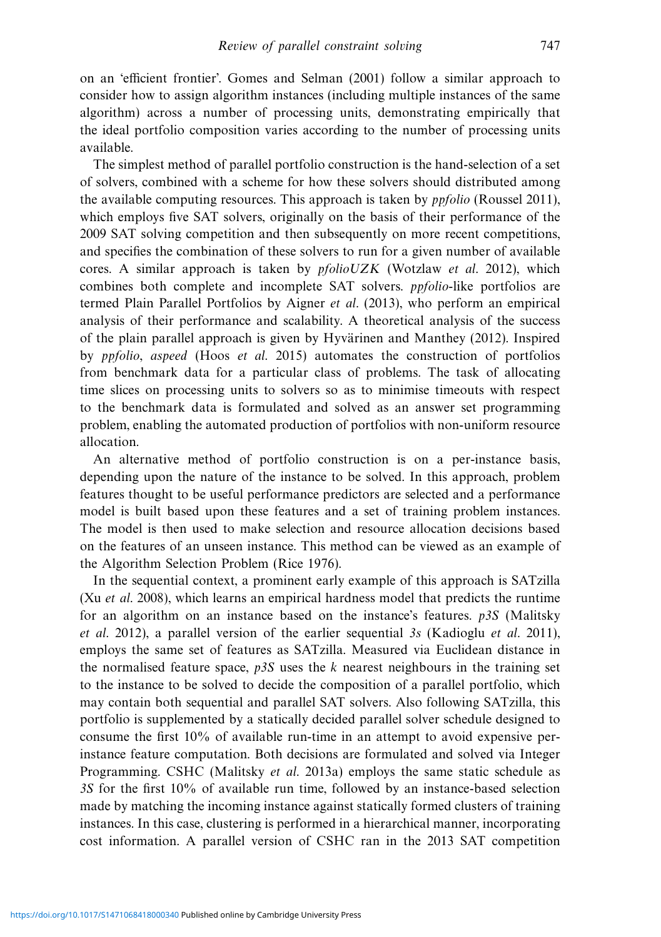on an 'efficient frontier'. Gomes and Selman (2001) follow a similar approach to consider how to assign algorithm instances (including multiple instances of the same algorithm) across a number of processing units, demonstrating empirically that the ideal portfolio composition varies according to the number of processing units available.

The simplest method of parallel portfolio construction is the hand-selection of a set of solvers, combined with a scheme for how these solvers should distributed among the available computing resources. This approach is taken by ppfolio (Roussel 2011), which employs five SAT solvers, originally on the basis of their performance of the 2009 SAT solving competition and then subsequently on more recent competitions, and specifies the combination of these solvers to run for a given number of available cores. A similar approach is taken by  $pfolioUZK$  (Wotzlaw *et al.* 2012), which combines both complete and incomplete SAT solvers. ppfolio-like portfolios are termed Plain Parallel Portfolios by Aigner et al. (2013), who perform an empirical analysis of their performance and scalability. A theoretical analysis of the success of the plain parallel approach is given by Hyvärinen and Manthey  $(2012)$ . Inspired by ppfolio, aspeed (Hoos et al. 2015) automates the construction of portfolios from benchmark data for a particular class of problems. The task of allocating time slices on processing units to solvers so as to minimise timeouts with respect to the benchmark data is formulated and solved as an answer set programming problem, enabling the automated production of portfolios with non-uniform resource allocation.

An alternative method of portfolio construction is on a per-instance basis, depending upon the nature of the instance to be solved. In this approach, problem features thought to be useful performance predictors are selected and a performance model is built based upon these features and a set of training problem instances. The model is then used to make selection and resource allocation decisions based on the features of an unseen instance. This method can be viewed as an example of the Algorithm Selection Problem (Rice 1976).

In the sequential context, a prominent early example of this approach is SATzilla (Xu *et al.* 2008), which learns an empirical hardness model that predicts the runtime for an algorithm on an instance based on the instance's features. p3S (Malitsky et al. 2012), a parallel version of the earlier sequential 3s (Kadioglu et al. 2011), employs the same set of features as SATzilla. Measured via Euclidean distance in the normalised feature space, p3S uses the *k* nearest neighbours in the training set to the instance to be solved to decide the composition of a parallel portfolio, which may contain both sequential and parallel SAT solvers. Also following SATzilla, this portfolio is supplemented by a statically decided parallel solver schedule designed to consume the first 10% of available run-time in an attempt to avoid expensive perinstance feature computation. Both decisions are formulated and solved via Integer Programming. CSHC (Malitsky et al. 2013a) employs the same static schedule as 3S for the first 10% of available run time, followed by an instance-based selection made by matching the incoming instance against statically formed clusters of training instances. In this case, clustering is performed in a hierarchical manner, incorporating cost information. A parallel version of CSHC ran in the 2013 SAT competition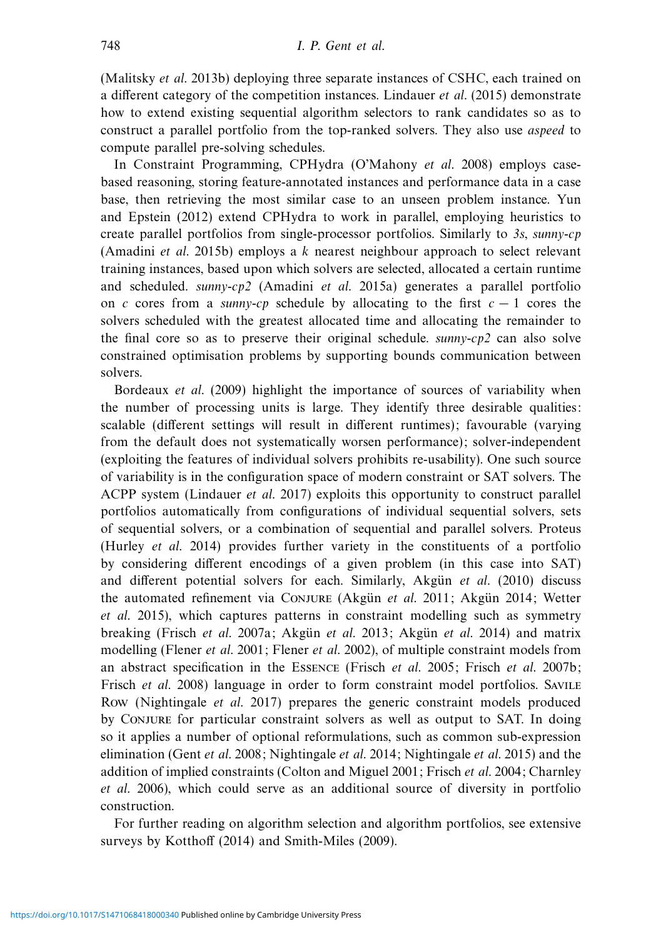(Malitsky et al. 2013b) deploying three separate instances of CSHC, each trained on a different category of the competition instances. Lindauer *et al.* (2015) demonstrate how to extend existing sequential algorithm selectors to rank candidates so as to construct a parallel portfolio from the top-ranked solvers. They also use aspeed to compute parallel pre-solving schedules.

In Constraint Programming, CPHydra (O'Mahony et al. 2008) employs casebased reasoning, storing feature-annotated instances and performance data in a case base, then retrieving the most similar case to an unseen problem instance. Yun and Epstein (2012) extend CPHydra to work in parallel, employing heuristics to create parallel portfolios from single-processor portfolios. Similarly to 3s, sunny-cp (Amadini et al. 2015b) employs a *k* nearest neighbour approach to select relevant training instances, based upon which solvers are selected, allocated a certain runtime and scheduled. sunny-cp2 (Amadini et al. 2015a) generates a parallel portfolio on *c* cores from a sunny-cp schedule by allocating to the first  $c - 1$  cores the solvers scheduled with the greatest allocated time and allocating the remainder to the final core so as to preserve their original schedule.  $\textit{sumn-vp2}$  can also solve constrained optimisation problems by supporting bounds communication between solvers.

Bordeaux et al. (2009) highlight the importance of sources of variability when the number of processing units is large. They identify three desirable qualities: scalable (different settings will result in different runtimes); favourable (varying from the default does not systematically worsen performance); solver-independent (exploiting the features of individual solvers prohibits re-usability). One such source of variability is in the configuration space of modern constraint or SAT solvers. The ACPP system (Lindauer *et al.* 2017) exploits this opportunity to construct parallel portfolios automatically from configurations of individual sequential solvers, sets of sequential solvers, or a combination of sequential and parallel solvers. Proteus (Hurley et al. 2014) provides further variety in the constituents of a portfolio by considering different encodings of a given problem (in this case into SAT) and different potential solvers for each. Similarly, Akgun et al.  $(2010)$  discuss the automated refinement via Conjure (Akgun et al. 2011; Akgun 2014; Wetter et al. 2015), which captures patterns in constraint modelling such as symmetry breaking (Frisch et al. 2007a; Akgün et al. 2013; Akgün et al. 2014) and matrix modelling (Flener *et al.* 2001; Flener *et al.* 2002), of multiple constraint models from an abstract specification in the Essence (Frisch et al. 2005; Frisch et al. 2007b; Frisch et al. 2008) language in order to form constraint model portfolios. Savile Row (Nightingale et al. 2017) prepares the generic constraint models produced by Conjure for particular constraint solvers as well as output to SAT. In doing so it applies a number of optional reformulations, such as common sub-expression elimination (Gent et al. 2008; Nightingale et al. 2014; Nightingale et al. 2015) and the addition of implied constraints (Colton and Miguel 2001; Frisch et al. 2004; Charnley et al. 2006), which could serve as an additional source of diversity in portfolio construction.

For further reading on algorithm selection and algorithm portfolios, see extensive surveys by Kotthoff (2014) and Smith-Miles (2009).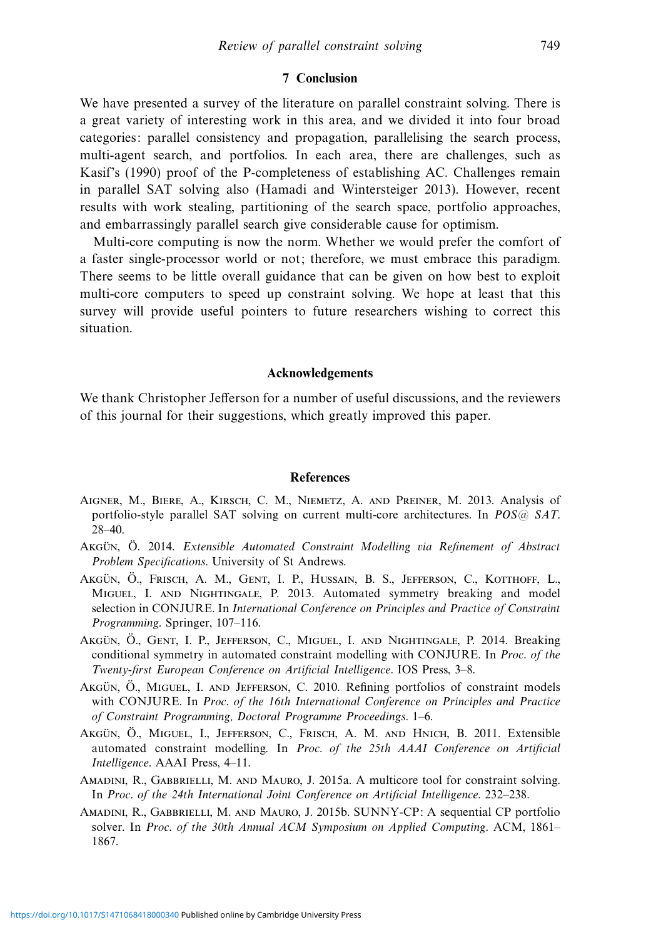## **7 Conclusion**

We have presented a survey of the literature on parallel constraint solving. There is a great variety of interesting work in this area, and we divided it into four broad categories: parallel consistency and propagation, parallelising the search process, multi-agent search, and portfolios. In each area, there are challenges, such as Kasif's (1990) proof of the P-completeness of establishing AC. Challenges remain in parallel SAT solving also (Hamadi and Wintersteiger 2013). However, recent results with work stealing, partitioning of the search space, portfolio approaches, and embarrassingly parallel search give considerable cause for optimism.

Multi-core computing is now the norm. Whether we would prefer the comfort of a faster single-processor world or not; therefore, we must embrace this paradigm. There seems to be little overall guidance that can be given on how best to exploit multi-core computers to speed up constraint solving. We hope at least that this survey will provide useful pointers to future researchers wishing to correct this situation.

#### **Acknowledgements**

We thank Christopher Jefferson for a number of useful discussions, and the reviewers of this journal for their suggestions, which greatly improved this paper.

#### **References**

- Aigner, M., Biere, A., Kirsch, C. M., Niemetz, A. and Preiner, M. 2013. Analysis of portfolio-style parallel SAT solving on current multi-core architectures. In POS@ SAT. 28–40.
- AKGÜN, Ö. 2014. Extensible Automated Constraint Modelling via Refinement of Abstract Problem Specifications. University of St Andrews.
- Akgün, Ö., Frisch, A. M., Gent, I. P., Hussain, B. S., Jefferson, C., Kotthoff, L., MIGUEL, I. AND NIGHTINGALE, P. 2013. Automated symmetry breaking and model selection in CONJURE. In International Conference on Principles and Practice of Constraint Programming. Springer, 107–116.
- AKGÜN, Ö., GENT, I. P., JEFFERSON, C., MIGUEL, I. AND NIGHTINGALE, P. 2014. Breaking conditional symmetry in automated constraint modelling with CONJURE. In Proc. of the Twenty-first European Conference on Artificial Intelligence. IOS Press, 3–8.
- Akgün, Ö., MIGUEL, I. AND JEFFERSON, C. 2010. Refining portfolios of constraint models with CONJURE. In Proc. of the 16th International Conference on Principles and Practice of Constraint Programming, Doctoral Programme Proceedings. 1–6.
- Akgün, Ö., Miguel, I., Jefferson, C., Frisch, A. M. AND HNICH, B. 2011. Extensible automated constraint modelling. In Proc. of the 25th AAAI Conference on Artificial Intelligence. AAAI Press, 4–11.
- Amadini, R., Gabbrielli, M. and Mauro, J. 2015a. A multicore tool for constraint solving. In Proc. of the 24th International Joint Conference on Artificial Intelligence. 232–238.
- Amadini, R., Gabbrielli, M. and Mauro, J. 2015b. SUNNY-CP: A sequential CP portfolio solver. In Proc. of the 30th Annual ACM Symposium on Applied Computing. ACM, 1861– 1867.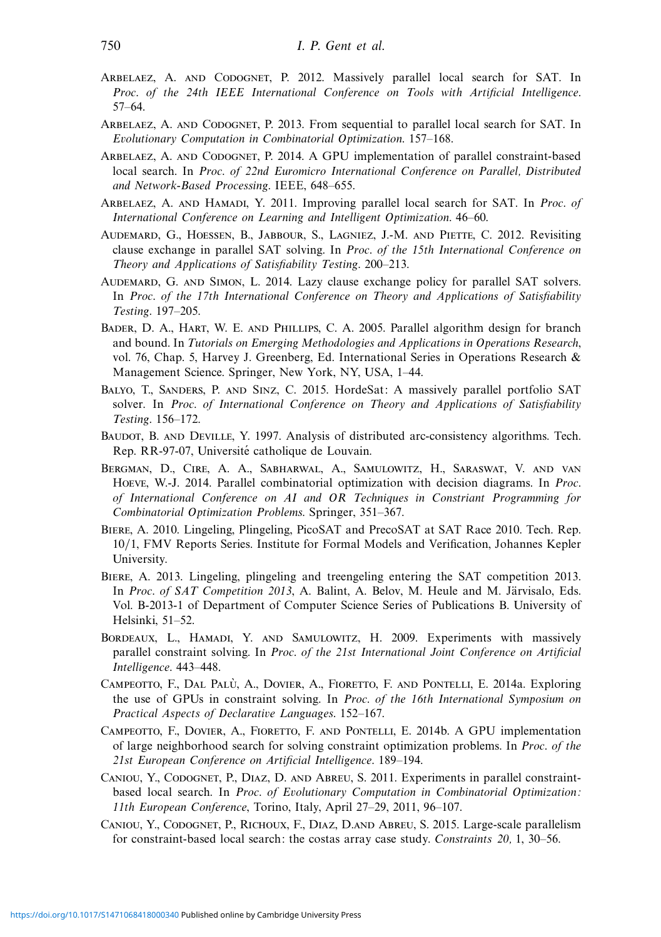- ARBELAEZ, A. AND CODOGNET, P. 2012. Massively parallel local search for SAT. In Proc. of the 24th IEEE International Conference on Tools with Artificial Intelligence. 57–64.
- ARBELAEZ, A. AND CODOGNET, P. 2013. From sequential to parallel local search for SAT. In Evolutionary Computation in Combinatorial Optimization. 157–168.
- Arbelaez, A. and Codognet, P. 2014. A GPU implementation of parallel constraint-based local search. In Proc. of 22nd Euromicro International Conference on Parallel, Distributed and Network-Based Processing. IEEE, 648–655.
- Arbelaez, A. and Hamadi, Y. 2011. Improving parallel local search for SAT. In Proc. of International Conference on Learning and Intelligent Optimization. 46–60.
- Audemard, G., Hoessen, B., Jabbour, S., Lagniez, J.-M. and Piette, C. 2012. Revisiting clause exchange in parallel SAT solving. In Proc. of the 15th International Conference on Theory and Applications of Satisfiability Testing. 200–213.
- Audemard, G. and Simon, L. 2014. Lazy clause exchange policy for parallel SAT solvers. In Proc. of the 17th International Conference on Theory and Applications of Satisfiability Testing. 197–205.
- Bader, D. A., Hart, W. E. and Phillips, C. A. 2005. Parallel algorithm design for branch and bound. In Tutorials on Emerging Methodologies and Applications in Operations Research, vol. 76, Chap. 5, Harvey J. Greenberg, Ed. International Series in Operations Research & Management Science. Springer, New York, NY, USA, 1–44.
- Balyo, T., Sanders, P. and Sinz, C. 2015. HordeSat: A massively parallel portfolio SAT solver. In Proc. of International Conference on Theory and Applications of Satisfiability Testing. 156–172.
- BAUDOT, B. AND DEVILLE, Y. 1997. Analysis of distributed arc-consistency algorithms. Tech. Rep. RR-97-07, Université catholique de Louvain.
- Bergman, D., Cire, A. A., Sabharwal, A., Samulowitz, H., Saraswat, V. and van Hoeve, W.-J. 2014. Parallel combinatorial optimization with decision diagrams. In Proc. of International Conference on AI and OR Techniques in Constriant Programming for Combinatorial Optimization Problems. Springer, 351–367.
- Biere, A. 2010. Lingeling, Plingeling, PicoSAT and PrecoSAT at SAT Race 2010. Tech. Rep. 10/1, FMV Reports Series. Institute for Formal Models and Verification, Johannes Kepler University.
- Biere, A. 2013. Lingeling, plingeling and treengeling entering the SAT competition 2013. In Proc. of SAT Competition 2013, A. Balint, A. Belov, M. Heule and M. Järvisalo, Eds. Vol. B-2013-1 of Department of Computer Science Series of Publications B. University of Helsinki, 51–52.
- Bordeaux, L., Hamadi, Y. and Samulowitz, H. 2009. Experiments with massively parallel constraint solving. In Proc. of the 21st International Joint Conference on Artificial Intelligence. 443–448.
- CAMPEOTTO, F., DAL PALÙ, A., DOVIER, A., FIORETTO, F. AND PONTELLI, E. 2014a. Exploring the use of GPUs in constraint solving. In Proc. of the 16th International Symposium on Practical Aspects of Declarative Languages. 152–167.
- Campeotto, F., Dovier, A., Fioretto, F. and Pontelli, E. 2014b. A GPU implementation of large neighborhood search for solving constraint optimization problems. In Proc. of the 21st European Conference on Artificial Intelligence. 189–194.
- Caniou, Y., Codognet, P., Diaz, D. and Abreu, S. 2011. Experiments in parallel constraintbased local search. In Proc. of Evolutionary Computation in Combinatorial Optimization: 11th European Conference, Torino, Italy, April 27–29, 2011, 96–107.
- Caniou, Y., Codognet, P., Richoux, F., Diaz, D.and Abreu, S. 2015. Large-scale parallelism for constraint-based local search: the costas array case study. Constraints 20, 1, 30–56.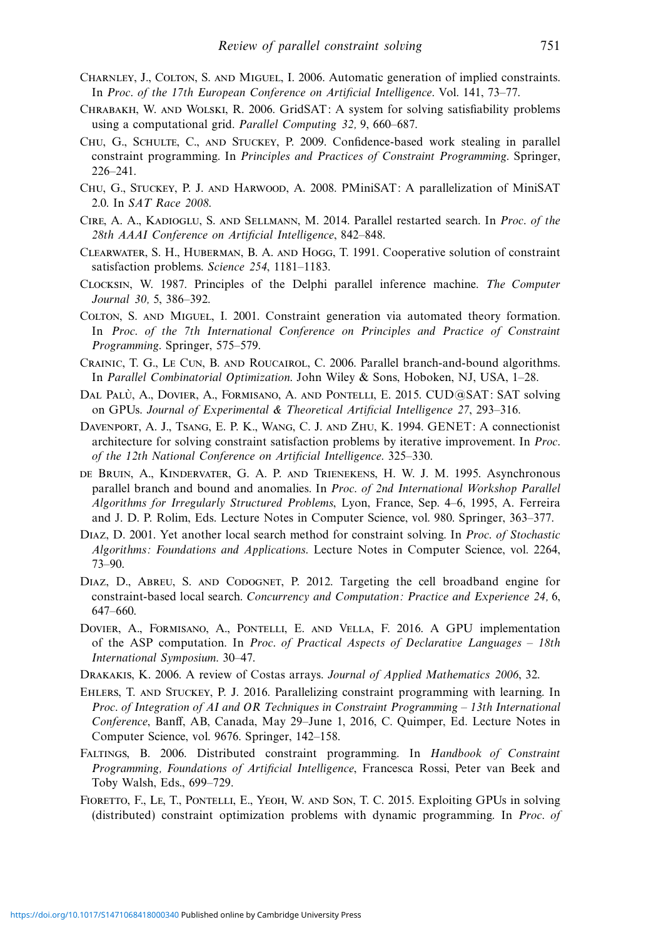- Charnley, J., Colton, S. and Miguel, I. 2006. Automatic generation of implied constraints. In Proc. of the 17th European Conference on Artificial Intelligence. Vol. 141, 73–77.
- Chrabakh, W. and Wolski, R. 2006. GridSAT: A system for solving satisfiability problems using a computational grid. Parallel Computing 32, 9, 660–687.
- Chu, G., Schulte, C., and Stuckey, P. 2009. Confidence-based work stealing in parallel constraint programming. In Principles and Practices of Constraint Programming. Springer, 226–241.
- Chu, G., Stuckey, P. J. and Harwood, A. 2008. PMiniSAT: A parallelization of MiniSAT 2.0. In SAT Race 2008.
- Cire, A. A., Kadioglu, S. and Sellmann, M. 2014. Parallel restarted search. In Proc. of the 28th AAAI Conference on Artificial Intelligence, 842–848.
- Clearwater, S. H., Huberman, B. A. and Hogg, T. 1991. Cooperative solution of constraint satisfaction problems. Science 254, 1181-1183.
- Clocksin, W. 1987. Principles of the Delphi parallel inference machine. The Computer Journal 30, 5, 386–392.
- Colton, S. and Miguel, I. 2001. Constraint generation via automated theory formation. In Proc. of the 7th International Conference on Principles and Practice of Constraint Programming. Springer, 575–579.
- Crainic, T. G., Le Cun, B. and Roucairol, C. 2006. Parallel branch-and-bound algorithms. In Parallel Combinatorial Optimization. John Wiley & Sons, Hoboken, NJ, USA,  $1-28$ .
- DAL PALU, A., DOVIER, A., FORMISANO, A. AND PONTELLI, E. 2015. CUD@SAT: SAT solving on GPUs. Journal of Experimental & Theoretical Artificial Intelligence 27, 293–316.
- Davenport, A. J., Tsang, E. P. K., Wang, C. J. and Zhu, K. 1994. GENET: A connectionist architecture for solving constraint satisfaction problems by iterative improvement. In Proc. of the 12th National Conference on Artificial Intelligence. 325–330.
- de Bruin, A., Kindervater, G. A. P. and Trienekens, H. W. J. M. 1995. Asynchronous parallel branch and bound and anomalies. In Proc. of 2nd International Workshop Parallel Algorithms for Irregularly Structured Problems, Lyon, France, Sep. 4–6, 1995, A. Ferreira and J. D. P. Rolim, Eds. Lecture Notes in Computer Science, vol. 980. Springer, 363–377.
- Diaz, D. 2001. Yet another local search method for constraint solving. In Proc. of Stochastic Algorithms: Foundations and Applications. Lecture Notes in Computer Science, vol. 2264, 73–90.
- DIAZ, D., ABREU, S. AND CODOGNET, P. 2012. Targeting the cell broadband engine for constraint-based local search. Concurrency and Computation: Practice and Experience 24, 6, 647–660.
- Dovier, A., Formisano, A., Pontelli, E. and Vella, F. 2016. A GPU implementation of the ASP computation. In Proc. of Practical Aspects of Declarative Languages – 18th International Symposium. 30–47.
- Drakakis, K. 2006. A review of Costas arrays. Journal of Applied Mathematics 2006, 32.
- Ehlers, T. and Stuckey, P. J. 2016. Parallelizing constraint programming with learning. In Proc. of Integration of AI and OR Techniques in Constraint Programming – 13th International Conference, Banff, AB, Canada, May 29–June 1, 2016, C. Quimper, Ed. Lecture Notes in Computer Science, vol. 9676. Springer, 142–158.
- Faltings, B. 2006. Distributed constraint programming. In Handbook of Constraint Programming, Foundations of Artificial Intelligence, Francesca Rossi, Peter van Beek and Toby Walsh, Eds., 699–729.
- Fioretto, F., Le, T., Pontelli, E., Yeoh, W. and Son, T. C. 2015. Exploiting GPUs in solving (distributed) constraint optimization problems with dynamic programming. In Proc. of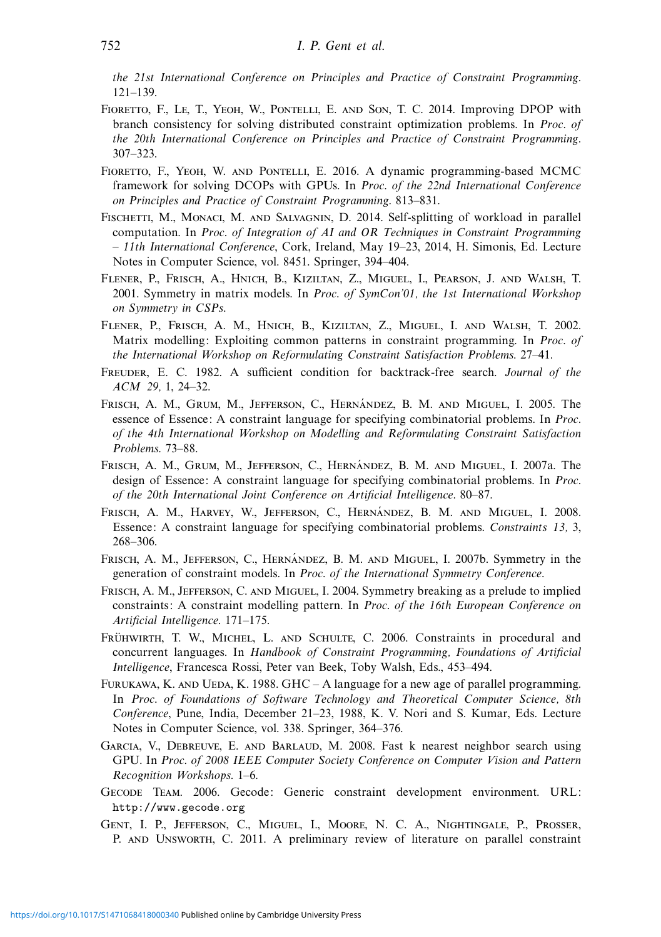the 21st International Conference on Principles and Practice of Constraint Programming. 121–139.

- FIORETTO, F., LE, T., YEOH, W., PONTELLI, E. AND SON, T. C. 2014. Improving DPOP with branch consistency for solving distributed constraint optimization problems. In Proc. of the 20th International Conference on Principles and Practice of Constraint Programming. 307–323.
- Fioretto, F., Yeoh, W. and Pontelli, E. 2016. A dynamic programming-based MCMC framework for solving DCOPs with GPUs. In Proc. of the 22nd International Conference on Principles and Practice of Constraint Programming. 813–831.
- Fischetti, M., Monaci, M. and Salvagnin, D. 2014. Self-splitting of workload in parallel computation. In Proc. of Integration of AI and OR Techniques in Constraint Programming – 11th International Conference, Cork, Ireland, May 19–23, 2014, H. Simonis, Ed. Lecture Notes in Computer Science, vol. 8451. Springer, 394–404.
- Flener, P., Frisch, A., Hnich, B., Kiziltan, Z., Miguel, I., Pearson, J. and Walsh, T. 2001. Symmetry in matrix models. In Proc. of SymCon'01, the 1st International Workshop on Symmetry in CSPs.
- Flener, P., Frisch, A. M., Hnich, B., Kiziltan, Z., Miguel, I. and Walsh, T. 2002. Matrix modelling: Exploiting common patterns in constraint programming. In Proc. of the International Workshop on Reformulating Constraint Satisfaction Problems. 27–41.
- FREUDER, E. C. 1982. A sufficient condition for backtrack-free search. Journal of the ACM 29, 1, 24–32.
- FRISCH, A. M., GRUM, M., JEFFERSON, C., HERNANDEZ, B. M. AND MIGUEL, I. 2005. The essence of Essence: A constraint language for specifying combinatorial problems. In Proc. of the 4th International Workshop on Modelling and Reformulating Constraint Satisfaction Problems. 73–88.
- Frisch, A. M., Grum, M., Jefferson, C., Hernandez, B. M. and Miguel, I. 2007a. The design of Essence: A constraint language for specifying combinatorial problems. In Proc. of the 20th International Joint Conference on Artificial Intelligence. 80–87.
- FRISCH, A. M., HARVEY, W., JEFFERSON, C., HERNÁNDEZ, B. M. AND MIGUEL, I. 2008. Essence: A constraint language for specifying combinatorial problems. Constraints 13, 3, 268–306.
- FRISCH, A. M., JEFFERSON, C., HERNANDEZ, B. M. AND MIGUEL, I. 2007b. Symmetry in the generation of constraint models. In Proc. of the International Symmetry Conference.
- FRISCH, A. M., JEFFERSON, C. AND MIGUEL, I. 2004. Symmetry breaking as a prelude to implied constraints: A constraint modelling pattern. In Proc. of the 16th European Conference on Artificial Intelligence. 171–175.
- FRÜHWIRTH, T. W., MICHEL, L. AND SCHULTE, C. 2006. Constraints in procedural and concurrent languages. In Handbook of Constraint Programming, Foundations of Artificial Intelligence, Francesca Rossi, Peter van Beek, Toby Walsh, Eds., 453–494.
- FURUKAWA, K. AND UEDA, K. 1988. GHC A language for a new age of parallel programming. In Proc. of Foundations of Software Technology and Theoretical Computer Science, 8th Conference, Pune, India, December 21–23, 1988, K. V. Nori and S. Kumar, Eds. Lecture Notes in Computer Science, vol. 338. Springer, 364–376.
- Garcia, V., Debreuve, E. and Barlaud, M. 2008. Fast k nearest neighbor search using GPU. In Proc. of 2008 IEEE Computer Society Conference on Computer Vision and Pattern Recognition Workshops. 1–6.
- Gecode Team. 2006. Gecode: Generic constraint development environment. URL: http://www.gecode.org
- Gent, I. P., Jefferson, C., Miguel, I., Moore, N. C. A., Nightingale, P., Prosser, P. and Unsworth, C. 2011. A preliminary review of literature on parallel constraint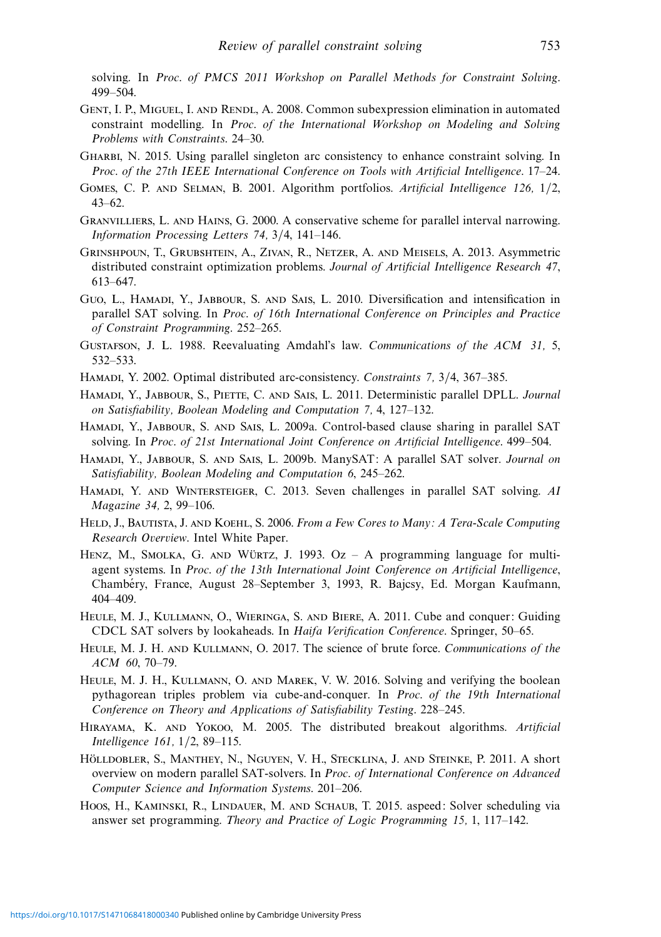solving. In Proc. of PMCS 2011 Workshop on Parallel Methods for Constraint Solving. 499–504.

- Gent, I. P., Miguel, I. and Rendl, A. 2008. Common subexpression elimination in automated constraint modelling. In Proc. of the International Workshop on Modeling and Solving Problems with Constraints. 24–30.
- Gharbi, N. 2015. Using parallel singleton arc consistency to enhance constraint solving. In Proc. of the 27th IEEE International Conference on Tools with Artificial Intelligence. 17–24.
- Gomes, C. P. and Selman, B. 2001. Algorithm portfolios. Artificial Intelligence 126, 1/2, 43–62.
- Granvilliers, L. and Hains, G. 2000. A conservative scheme for parallel interval narrowing. Information Processing Letters 74, 3/4, 141–146.
- Grinshpoun, T., Grubshtein, A., Zivan, R., Netzer, A. and Meisels, A. 2013. Asymmetric distributed constraint optimization problems. Journal of Artificial Intelligence Research 47, 613–647.
- GUO, L., HAMADI, Y., JABBOUR, S. AND SAIS, L. 2010. Diversification and intensification in parallel SAT solving. In Proc. of 16th International Conference on Principles and Practice of Constraint Programming. 252–265.
- Gustafson, J. L. 1988. Reevaluating Amdahl's law. Communications of the ACM 31, 5, 532–533.
- Hamadi, Y. 2002. Optimal distributed arc-consistency. Constraints 7, 3/4, 367–385.
- HAMADI, Y., JABBOUR, S., PIETTE, C. AND SAIS, L. 2011. Deterministic parallel DPLL. Journal on Satisfiability, Boolean Modeling and Computation 7, 4, 127–132.
- Hamadi, Y., Jabbour, S. and Sais, L. 2009a. Control-based clause sharing in parallel SAT solving. In Proc. of 21st International Joint Conference on Artificial Intelligence. 499–504.
- HAMADI, Y., JABBOUR, S. AND SAIS, L. 2009b. ManySAT: A parallel SAT solver. Journal on Satisfiability, Boolean Modeling and Computation 6, 245–262.
- Hamadi, Y. and Wintersteiger, C. 2013. Seven challenges in parallel SAT solving. AI Magazine 34, 2, 99–106.
- HELD, J., BAUTISTA, J. AND KOEHL, S. 2006. From a Few Cores to Many: A Tera-Scale Computing Research Overview. Intel White Paper.
- HENZ, M., SMOLKA, G. AND WÜRTZ, J. 1993. Oz A programming language for multiagent systems. In Proc. of the 13th International Joint Conference on Artificial Intelligence, Chambéry, France, August 28–September 3, 1993, R. Bajcsy, Ed. Morgan Kaufmann, 404–409.
- Heule, M. J., Kullmann, O., Wieringa, S. and Biere, A. 2011. Cube and conquer: Guiding CDCL SAT solvers by lookaheads. In Haifa Verification Conference. Springer, 50–65.
- Heule, M. J. H. and Kullmann, O. 2017. The science of brute force. Communications of the ACM 60, 70–79.
- HEULE, M. J. H., KULLMANN, O. AND MAREK, V. W. 2016. Solving and verifying the boolean pythagorean triples problem via cube-and-conquer. In Proc. of the 19th International Conference on Theory and Applications of Satisfiability Testing. 228–245.
- HIRAYAMA, K. AND YOKOO, M. 2005. The distributed breakout algorithms. Artificial Intelligence 161, 1/2, 89–115.
- HÖLLDOBLER, S., MANTHEY, N., NGUYEN, V. H., STECKLINA, J. AND STEINKE, P. 2011. A short overview on modern parallel SAT-solvers. In Proc. of International Conference on Advanced Computer Science and Information Systems. 201–206.
- Hoos, H., Kaminski, R., Lindauer, M. and Schaub, T. 2015. aspeed: Solver scheduling via answer set programming. Theory and Practice of Logic Programming 15, 1, 117–142.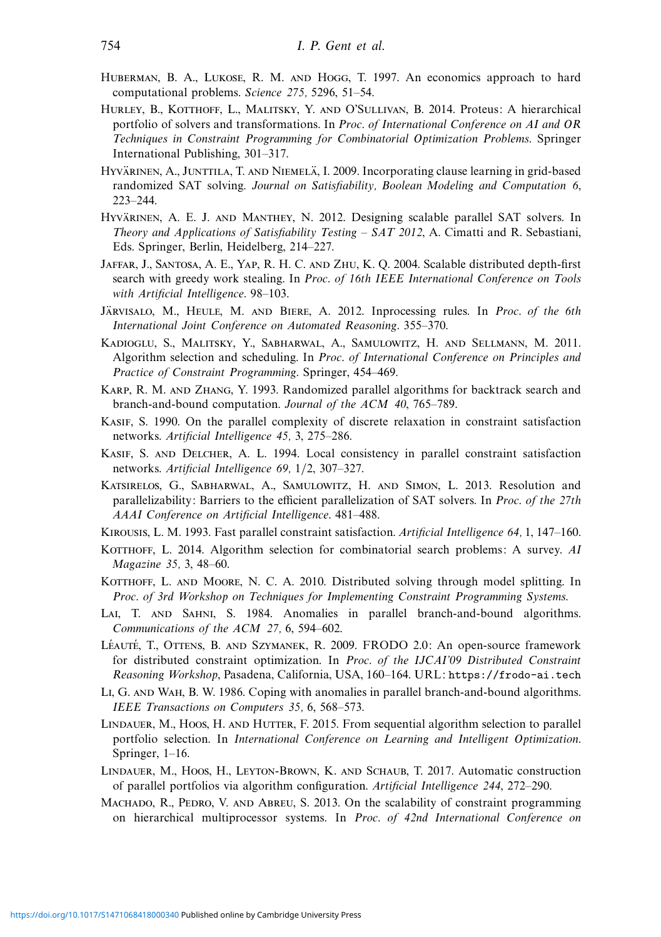- Huberman, B. A., Lukose, R. M. and Hogg, T. 1997. An economics approach to hard computational problems. Science 275, 5296, 51–54.
- Hurley, B., Kotthoff, L., Malitsky, Y. and O'Sullivan, B. 2014. Proteus: A hierarchical portfolio of solvers and transformations. In Proc. of International Conference on AI and OR Techniques in Constraint Programming for Combinatorial Optimization Problems. Springer International Publishing, 301–317.
- HYVÄRINEN, A., JUNTTILA, T. AND NIEMELÄ, I. 2009. Incorporating clause learning in grid-based randomized SAT solving. Journal on Satisfiability, Boolean Modeling and Computation 6, 223–244.
- HYVÄRINEN, A. E. J. AND MANTHEY, N. 2012. Designing scalable parallel SAT solvers. In Theory and Applications of Satisfiability Testing –  $SAT$  2012, A. Cimatti and R. Sebastiani, Eds. Springer, Berlin, Heidelberg, 214–227.
- Jaffar, J., Santosa, A. E., Yap, R. H. C. and Zhu, K. Q. 2004. Scalable distributed depth-first search with greedy work stealing. In Proc. of 16th IEEE International Conference on Tools with Artificial Intelligence. 98–103.
- JÄRVISALO, M., HEULE, M. AND BIERE, A. 2012. Inprocessing rules. In Proc. of the 6th International Joint Conference on Automated Reasoning. 355–370.
- Kadioglu, S., Malitsky, Y., Sabharwal, A., Samulowitz, H. and Sellmann, M. 2011. Algorithm selection and scheduling. In Proc. of International Conference on Principles and Practice of Constraint Programming. Springer, 454–469.
- Karp, R. M. and Zhang, Y. 1993. Randomized parallel algorithms for backtrack search and branch-and-bound computation. Journal of the ACM 40, 765–789.
- Kasif, S. 1990. On the parallel complexity of discrete relaxation in constraint satisfaction networks. Artificial Intelligence 45, 3, 275–286.
- Kasif, S. and Delcher, A. L. 1994. Local consistency in parallel constraint satisfaction networks. Artificial Intelligence 69, 1/2, 307–327.
- Katsirelos, G., Sabharwal, A., Samulowitz, H. and Simon, L. 2013. Resolution and parallelizability: Barriers to the efficient parallelization of SAT solvers. In Proc. of the 27th AAAI Conference on Artificial Intelligence. 481–488.
- Kirousis, L. M. 1993. Fast parallel constraint satisfaction. Artificial Intelligence 64, 1, 147–160.
- KOTTHOFF, L. 2014. Algorithm selection for combinatorial search problems: A survey.  $AI$ Magazine 35, 3, 48–60.
- KOTTHOFF, L. AND MOORE, N. C. A. 2010. Distributed solving through model splitting. In Proc. of 3rd Workshop on Techniques for Implementing Constraint Programming Systems.
- Lai, T. and Sahni, S. 1984. Anomalies in parallel branch-and-bound algorithms. Communications of the ACM 27, 6, 594–602.
- LÉAUTÉ, T., OTTENS, B. AND SZYMANEK, R. 2009. FRODO 2.0: An open-source framework for distributed constraint optimization. In Proc. of the IJCAI'09 Distributed Constraint Reasoning Workshop, Pasadena, California, USA, 160–164. URL: https://frodo-ai.tech
- Li, G. and Wah, B. W. 1986. Coping with anomalies in parallel branch-and-bound algorithms. IEEE Transactions on Computers 35, 6, 568–573.
- LINDAUER, M., HOOS, H. AND HUTTER, F. 2015. From sequential algorithm selection to parallel portfolio selection. In International Conference on Learning and Intelligent Optimization. Springer, 1–16.
- Lindauer, M., Hoos, H., Leyton-Brown, K. and Schaub, T. 2017. Automatic construction of parallel portfolios via algorithm configuration. Artificial Intelligence 244, 272–290.
- MACHADO, R., PEDRO, V. AND ABREU, S. 2013. On the scalability of constraint programming on hierarchical multiprocessor systems. In Proc. of 42nd International Conference on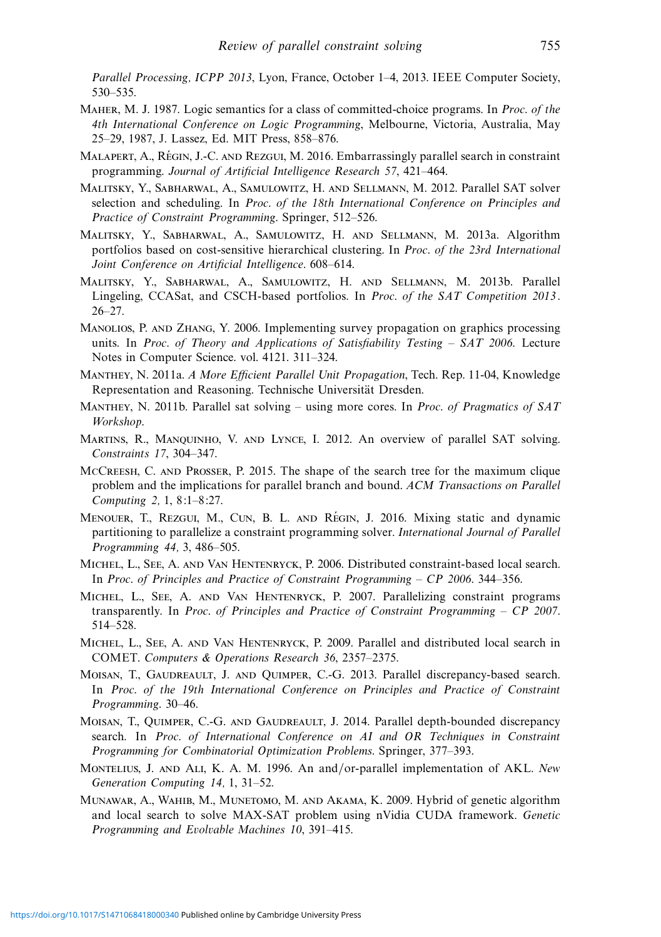Parallel Processing, ICPP 2013, Lyon, France, October 1–4, 2013. IEEE Computer Society, 530–535.

- MAHER, M. J. 1987. Logic semantics for a class of committed-choice programs. In Proc. of the 4th International Conference on Logic Programming, Melbourne, Victoria, Australia, May 25–29, 1987, J. Lassez, Ed. MIT Press, 858–876.
- MALAPERT, A., RÉGIN, J.-C. AND REZGUI, M. 2016. Embarrassingly parallel search in constraint programming. Journal of Artificial Intelligence Research 57, 421–464.
- Malitsky, Y., Sabharwal, A., Samulowitz, H. and Sellmann, M. 2012. Parallel SAT solver selection and scheduling. In Proc. of the 18th International Conference on Principles and Practice of Constraint Programming. Springer, 512–526.
- Malitsky, Y., Sabharwal, A., Samulowitz, H. and Sellmann, M. 2013a. Algorithm portfolios based on cost-sensitive hierarchical clustering. In Proc. of the 23rd International Joint Conference on Artificial Intelligence. 608–614.
- Malitsky, Y., Sabharwal, A., Samulowitz, H. and Sellmann, M. 2013b. Parallel Lingeling, CCASat, and CSCH-based portfolios. In *Proc. of the SAT Competition 2013*. 26–27.
- Manolios, P. and Zhang, Y. 2006. Implementing survey propagation on graphics processing units. In Proc. of Theory and Applications of Satisfiability Testing  $-$  SAT 2006. Lecture Notes in Computer Science. vol. 4121. 311–324.
- Manthey, N. 2011a. A More Efficient Parallel Unit Propagation, Tech. Rep. 11-04, Knowledge Representation and Reasoning. Technische Universität Dresden.
- MANTHEY, N. 2011b. Parallel sat solving using more cores. In *Proc. of Pragmatics of SAT* Workshop.
- Martins, R., Manquinho, V. and Lynce, I. 2012. An overview of parallel SAT solving. Constraints 17, 304–347.
- McCreesh, C. and Prosser, P. 2015. The shape of the search tree for the maximum clique problem and the implications for parallel branch and bound. ACM Transactions on Parallel Computing 2, 1, 8:1–8:27.
- MENOUER, T., REZGUI, M., CUN, B. L. AND RÉGIN, J. 2016. Mixing static and dynamic partitioning to parallelize a constraint programming solver. International Journal of Parallel Programming 44, 3, 486–505.
- Michel, L., See, A. and Van Hentenryck, P. 2006. Distributed constraint-based local search. In Proc. of Principles and Practice of Constraint Programming – CP 2006. 344–356.
- Michel, L., See, A. and Van Hentenryck, P. 2007. Parallelizing constraint programs transparently. In Proc. of Principles and Practice of Constraint Programming  $-$  CP 2007. 514–528.
- Michel, L., See, A. and Van Hentenryck, P. 2009. Parallel and distributed local search in COMET. Computers & Operations Research 36, 2357–2375.
- Moisan, T., Gaudreault, J. and Quimper, C.-G. 2013. Parallel discrepancy-based search. In Proc. of the 19th International Conference on Principles and Practice of Constraint Programming. 30–46.
- Moisan, T., Quimper, C.-G. and Gaudreault, J. 2014. Parallel depth-bounded discrepancy search. In Proc. of International Conference on AI and OR Techniques in Constraint Programming for Combinatorial Optimization Problems. Springer, 377–393.
- Montelius, J. and Ali, K. A. M. 1996. An and/or-parallel implementation of AKL. New Generation Computing 14, 1, 31–52.
- Munawar, A., Wahib, M., Munetomo, M. and Akama, K. 2009. Hybrid of genetic algorithm and local search to solve MAX-SAT problem using nVidia CUDA framework. Genetic Programming and Evolvable Machines 10, 391–415.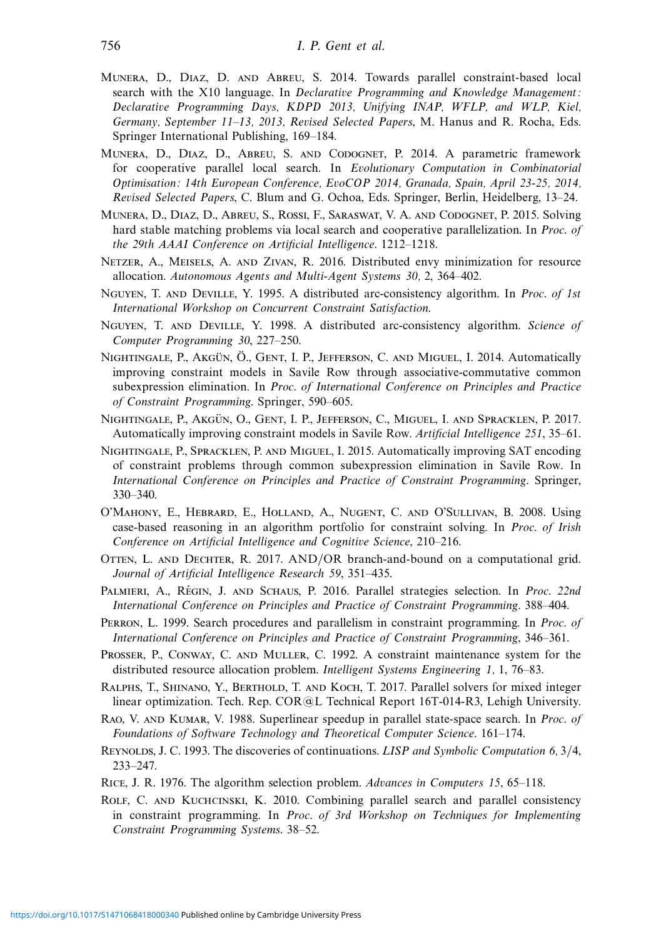- Munera, D., Diaz, D. and Abreu, S. 2014. Towards parallel constraint-based local search with the X10 language. In *Declarative Programming and Knowledge Management*: Declarative Programming Days, KDPD 2013, Unifying INAP, WFLP, and WLP, Kiel, Germany, September 11–13, 2013, Revised Selected Papers, M. Hanus and R. Rocha, Eds. Springer International Publishing, 169–184.
- Munera, D., Diaz, D., Abreu, S. and Codognet, P. 2014. A parametric framework for cooperative parallel local search. In Evolutionary Computation in Combinatorial Optimisation: 14th European Conference, EvoCOP 2014, Granada, Spain, April 23-25, 2014, Revised Selected Papers, C. Blum and G. Ochoa, Eds. Springer, Berlin, Heidelberg, 13–24.
- Munera, D., Diaz, D., Abreu, S., Rossi, F., Saraswat, V. A. and Codognet, P. 2015. Solving hard stable matching problems via local search and cooperative parallelization. In Proc. of the 29th AAAI Conference on Artificial Intelligence. 1212–1218.
- Netzer, A., Meisels, A. and Zivan, R. 2016. Distributed envy minimization for resource allocation. Autonomous Agents and Multi-Agent Systems 30, 2, 364–402.
- NGUYEN, T. AND DEVILLE, Y. 1995. A distributed arc-consistency algorithm. In Proc. of 1st International Workshop on Concurrent Constraint Satisfaction.
- Nguyen, T. and Deville, Y. 1998. A distributed arc-consistency algorithm. Science of Computer Programming 30, 227–250.
- NIGHTINGALE, P., AKGÜN, Ö., GENT, I. P., JEFFERSON, C. AND MIGUEL, I. 2014. Automatically improving constraint models in Savile Row through associative-commutative common subexpression elimination. In Proc. of International Conference on Principles and Practice of Constraint Programming. Springer, 590–605.
- NIGHTINGALE, P., AKGÜN, O., GENT, I. P., JEFFERSON, C., MIGUEL, I. AND SPRACKLEN, P. 2017. Automatically improving constraint models in Savile Row. Artificial Intelligence 251, 35–61.
- Nightingale, P., Spracklen, P. and Miguel, I. 2015. Automatically improving SAT encoding of constraint problems through common subexpression elimination in Savile Row. In International Conference on Principles and Practice of Constraint Programming. Springer, 330–340.
- O'Mahony, E., Hebrard, E., Holland, A., Nugent, C. and O'Sullivan, B. 2008. Using case-based reasoning in an algorithm portfolio for constraint solving. In Proc. of Irish Conference on Artificial Intelligence and Cognitive Science, 210–216.
- Otten, L. and Dechter, R. 2017. AND/OR branch-and-bound on a computational grid. Journal of Artificial Intelligence Research 59, 351–435.
- PALMIERI, A., RÉGIN, J. AND SCHAUS, P. 2016. Parallel strategies selection. In Proc. 22nd International Conference on Principles and Practice of Constraint Programming. 388–404.
- Perron, L. 1999. Search procedures and parallelism in constraint programming. In Proc. of International Conference on Principles and Practice of Constraint Programming, 346–361.
- Prosser, P., Conway, C. and Muller, C. 1992. A constraint maintenance system for the distributed resource allocation problem. Intelligent Systems Engineering 1, 1, 76–83.
- RALPHS, T., SHINANO, Y., BERTHOLD, T. AND KOCH, T. 2017. Parallel solvers for mixed integer linear optimization. Tech. Rep. COR@L Technical Report 16T-014-R3, Lehigh University.
- RAO, V. AND KUMAR, V. 1988. Superlinear speedup in parallel state-space search. In Proc. of Foundations of Software Technology and Theoretical Computer Science. 161–174.
- REYNOLDS, J. C. 1993. The discoveries of continuations. LISP and Symbolic Computation 6, 3/4, 233–247.
- Rice, J. R. 1976. The algorithm selection problem. Advances in Computers 15, 65–118.
- ROLF, C. AND KUCHCINSKI, K. 2010. Combining parallel search and parallel consistency in constraint programming. In Proc. of 3rd Workshop on Techniques for Implementing Constraint Programming Systems. 38–52.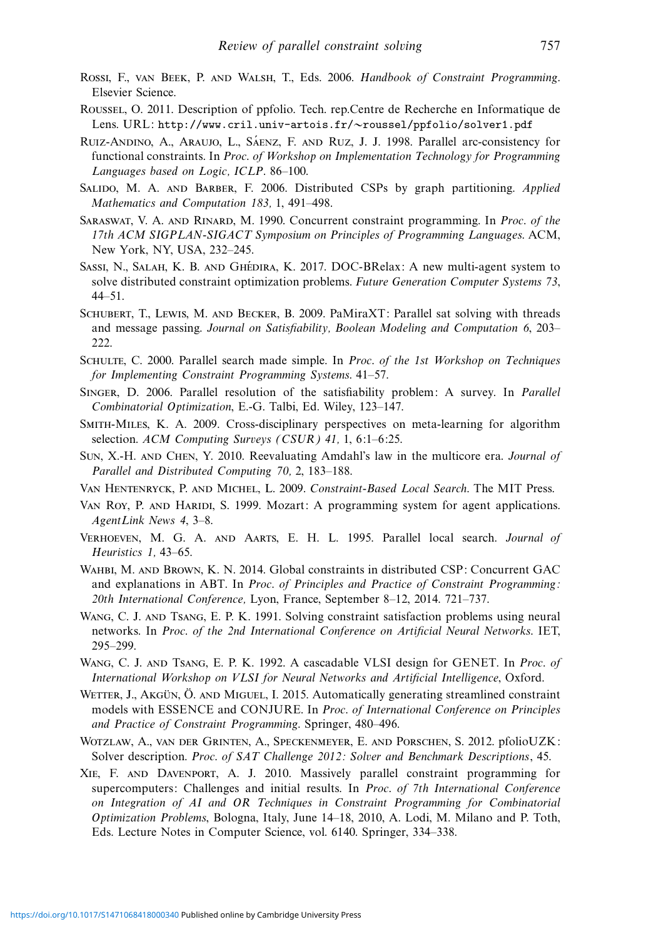- Rossi, F., van Beek, P. and Walsh, T., Eds. 2006. Handbook of Constraint Programming. Elsevier Science.
- Roussel, O. 2011. Description of ppfolio. Tech. rep.Centre de Recherche en Informatique de Lens. URL: http://www.cril.univ-artois.fr/∼roussel/ppfolio/solver1.pdf
- RUIZ-ANDINO, A., ARAUJO, L., SÁENZ, F. AND RUZ, J. J. 1998. Parallel arc-consistency for functional constraints. In Proc. of Workshop on Implementation Technology for Programming Languages based on Logic, ICLP. 86–100.
- Salido, M. A. and Barber, F. 2006. Distributed CSPs by graph partitioning. Applied Mathematics and Computation 183, 1, 491–498.
- Saraswat, V. A. and Rinard, M. 1990. Concurrent constraint programming. In Proc. of the 17th ACM SIGPLAN-SIGACT Symposium on Principles of Programming Languages. ACM, New York, NY, USA, 232–245.
- SASSI, N., SALAH, K. B. AND GHÉDIRA, K. 2017. DOC-BRelax: A new multi-agent system to solve distributed constraint optimization problems. Future Generation Computer Systems 73, 44–51.
- Schubert, T., Lewis, M. and Becker, B. 2009. PaMiraXT: Parallel sat solving with threads and message passing. Journal on Satisfiability, Boolean Modeling and Computation 6, 203– 222.
- SCHULTE, C. 2000. Parallel search made simple. In Proc. of the 1st Workshop on Techniques for Implementing Constraint Programming Systems. 41–57.
- Singer, D. 2006. Parallel resolution of the satisfiability problem: A survey. In Parallel Combinatorial Optimization, E.-G. Talbi, Ed. Wiley, 123–147.
- Smith-Miles, K. A. 2009. Cross-disciplinary perspectives on meta-learning for algorithm selection. ACM Computing Surveys (CSUR) 41, 1, 6:1-6:25.
- Sun, X.-H. and Chen, Y. 2010. Reevaluating Amdahl's law in the multicore era. Journal of Parallel and Distributed Computing 70, 2, 183–188.
- Van Hentenryck, P. and Michel, L. 2009. Constraint-Based Local Search. The MIT Press.
- Van Roy, P. and Haridi, S. 1999. Mozart: A programming system for agent applications. AgentLink News 4, 3–8.
- Verhoeven, M. G. A. and Aarts, E. H. L. 1995. Parallel local search. Journal of Heuristics 1, 43–65.
- Wahbi, M. and Brown, K. N. 2014. Global constraints in distributed CSP: Concurrent GAC and explanations in ABT. In Proc. of Principles and Practice of Constraint Programming: 20th International Conference, Lyon, France, September 8–12, 2014. 721–737.
- Wang, C. J. and Tsang, E. P. K. 1991. Solving constraint satisfaction problems using neural networks. In Proc. of the 2nd International Conference on Artificial Neural Networks. IET, 295–299.
- WANG, C. J. AND TSANG, E. P. K. 1992. A cascadable VLSI design for GENET. In Proc. of International Workshop on VLSI for Neural Networks and Artificial Intelligence, Oxford.
- WETTER, J., AKGÜN, Ö. AND MIGUEL, I. 2015. Automatically generating streamlined constraint models with ESSENCE and CONJURE. In Proc. of International Conference on Principles and Practice of Constraint Programming. Springer, 480–496.
- Wotzlaw, A., van der Grinten, A., Speckenmeyer, E. and Porschen, S. 2012. pfolioUZK: Solver description. Proc. of SAT Challenge 2012: Solver and Benchmark Descriptions, 45.
- Xie, F. and Davenport, A. J. 2010. Massively parallel constraint programming for supercomputers: Challenges and initial results. In Proc. of 7th International Conference on Integration of AI and OR Techniques in Constraint Programming for Combinatorial Optimization Problems, Bologna, Italy, June 14–18, 2010, A. Lodi, M. Milano and P. Toth, Eds. Lecture Notes in Computer Science, vol. 6140. Springer, 334–338.